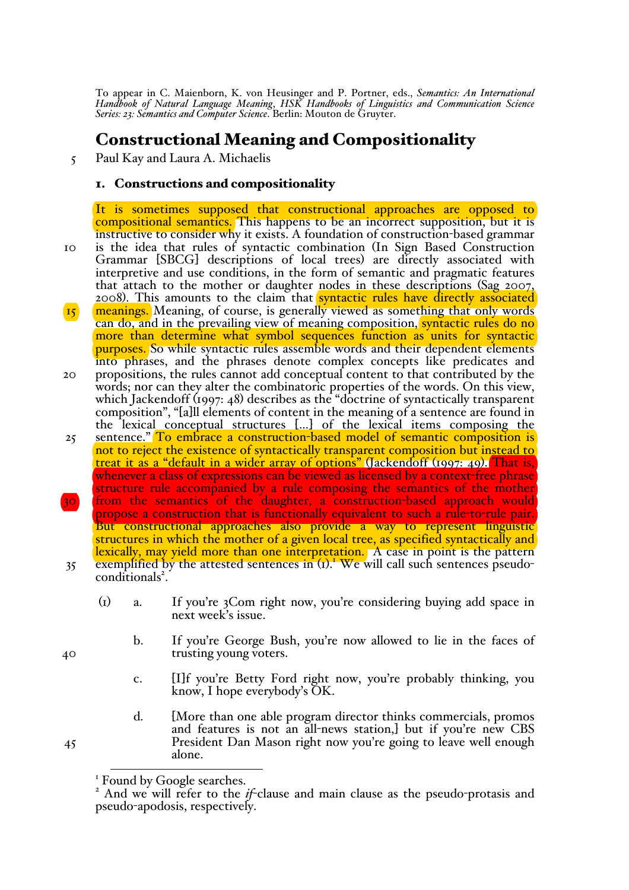To appear in C. Maienborn, K. von Heusinger and P. Portner, eds., *Semantics: An International Handbook of Natural Language Meaning*, *HSK Handbooks of Linguistics and Communication Science Series: 23: Semantics and Computer Science*. Berlin: Mouton de Gruyter.

# Constructional Meaning and Compositionality

5 Paul Kay and Laura A. Michaelis

# 1. Constructions and compositionality

It is sometimes supposed that constructional approaches are opposed to compositional semantics. This happens to be an incorrect supposition, but it is instructive to consider why it exists. A foundation of construction-based grammar 10 is the idea that rules of syntactic combination (In Sign Based Construction

- Grammar [SBCG] descriptions of local trees) are directly associated with interpretive and use conditions, in the form of semantic and pragmatic features that attach to the mother or daughter nodes in these descriptions (Sag 2007, 2008). This amounts to the claim that syntactic rules have directly associated
- 15 meanings. Meaning, of course, is generally viewed as something that only words can do, and in the prevailing view of meaning composition, syntactic rules do no more than determine what symbol sequences function as units for syntactic purposes. So while syntactic rules assemble words and their dependent elements into phrases, and the phrases denote complex concepts like predicates and
- 20 propositions, the rules cannot add conceptual content to that contributed by the words; nor can they alter the combinatoric properties of the words. On this view, which Jackendoff (1997:  $48$ ) describes as the "doctrine of syntactically transparent composition", "[a]ll elements of content in the meaning of a sentence are found in the lexical conceptual structures […] of the lexical items composing the
- 25 sentence." To embrace a construction-based model of semantic composition is not to reject the existence of syntactically transparent composition but instead to treat it as a "default in a wider array of options" (Jackendoff (1997: 49). That is, whenever a class of expressions can be viewed as licensed by a context-free phrase structure rule accompanied by a rule composing the semantics of the mother 30 from the semantics of the daughter, a construction-based approach would propose a construction that is functionally equivalent to such a rule-to-rule pair. But constructional approaches also provide a way to represent linguistic structures in which the mother of a given local tree, as specified syntactically and lexically, may yield more than one interpretation. A case in point is the pattern 35 exemplified by the attested sentences in  $(I)^T$  We will call such sentences pseudoconditionals<sup>2</sup>.
	- (1) a. If you're 3Com right now, you're considering buying add space in next week's issue.
- b. If you're George Bush, you're now allowed to lie in the faces of 40 trusting young voters.
	- c. [I]f you're Betty Ford right now, you're probably thinking, you know, I hope everybody's OK.
- d. [More than one able program director thinks commercials, promos and features is not an all-news station,] but if you're new CBS 45 President Dan Mason right now you're going to leave well enough alone.

<sup>&</sup>lt;sup>1</sup> Found by Google searches.

<sup>&</sup>lt;sup>2</sup> And we will refer to the *if*-clause and main clause as the pseudo-protasis and pseudo-apodosis, respectively.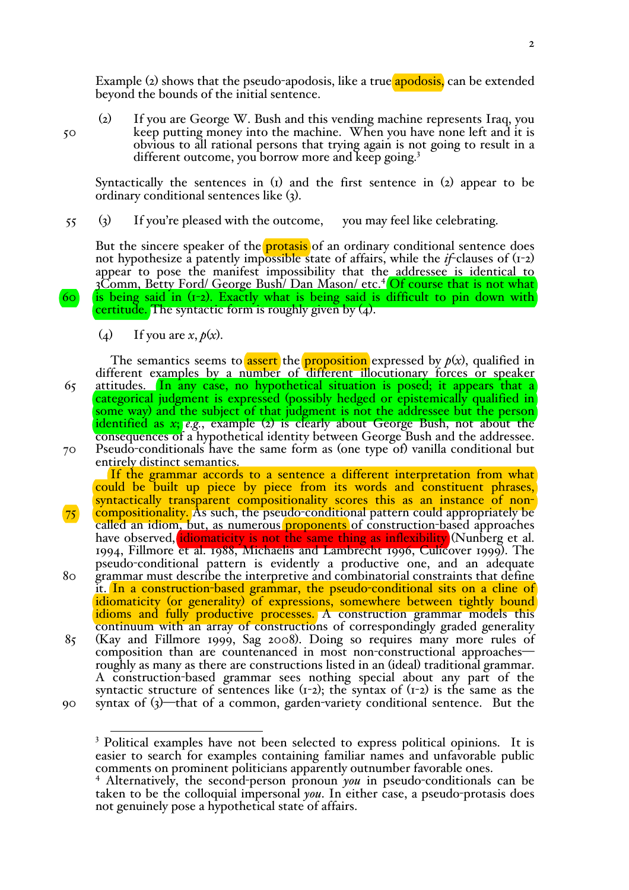Example (2) shows that the pseudo-apodosis, like a true apodosis, can be extended beyond the bounds of the initial sentence.

(2) If you are George W. Bush and this vending machine represents Iraq, you 50 keep putting money into the machine. When you have none left and it is obvious to all rational persons that trying again is not going to result in a different outcome, you borrow more and keep going.<sup>3</sup>

Syntactically the sentences in  $(i)$  and the first sentence in  $(i)$  appear to be ordinary conditional sentences like (3).

55 (3) If you're pleased with the outcome, you may feel like celebrating.

But the sincere speaker of the **protasis** of an ordinary conditional sentence does not hypothesize a patently impossible state of affairs, while the *if*-clauses of (1-2) appear to pose the manifest impossibility that the addressee is identical to 3Comm, Betty Ford/ George Bush/ Dan Mason/ etc.<sup>4</sup> Of course that is not what 60 is being said in (1-2). Exactly what is being said is difficult to pin down with certitude. The syntactic form is roughly given by  $(4)$ .

(4) If you are  $x, p(x)$ .

The semantics seems to assert the **proposition** expressed by  $p(x)$ , qualified in different examples by a number of different illocutionary forces or speaker 65 attitudes. In any case, no hypothetical situation is posed; it appears that a categorical judgment is expressed (possibly hedged or epistemically qualified in some way) and the subject of that judgment is not the addressee but the person identified as *x*; *e.g.*, example (2) is clearly about George Bush, not about the consequences of a hypothetical identity between George Bush and the addressee. 70 Pseudo-conditionals have the same form as (one type of) vanilla conditional but

entirely distinct semantics.

If the grammar accords to a sentence a different interpretation from what could be built up piece by piece from its words and constituent phrases, syntactically transparent compositionality scores this as an instance of non-75 compositionality. As such, the pseudo-conditional pattern could appropriately be called an idiom, but, as numerous **proponents** of construction-based approaches have observed, idiomaticity is not the same thing as inflexibility (Nunberg et al. 1994, Fillmore et al. 1988, Michaelis and Lambrecht 1996, Culicover 1999). The pseudo-conditional pattern is evidently a productive one, and an adequate

80 grammar must describe the interpretive and combinatorial constraints that define it. In a construction-based grammar, the pseudo-conditional sits on a cline of idiomaticity (or generality) of expressions, somewhere between tightly bound idioms and fully productive processes. A construction grammar models this continuum with an array of constructions of correspondingly graded generality

85 (Kay and Fillmore 1999, Sag 2008). Doing so requires many more rules of composition than are countenanced in most non-constructional approaches roughly as many as there are constructions listed in an (ideal) traditional grammar. A construction-based grammar sees nothing special about any part of the syntactic structure of sentences like  $(r-2)$ ; the syntax of  $(r-2)$  is the same as the 90 syntax of (3)—that of a common, garden-variety conditional sentence. But the

<sup>&</sup>lt;sup>3</sup> Political examples have not been selected to express political opinions. It is easier to search for examples containing familiar names and unfavorable public comments on prominent politicians apparently outnumber favorable ones. <sup>4</sup>

Alternatively, the second-person pronoun *you* in pseudo-conditionals can be taken to be the colloquial impersonal *you*. In either case, a pseudo-protasis does not genuinely pose a hypothetical state of affairs.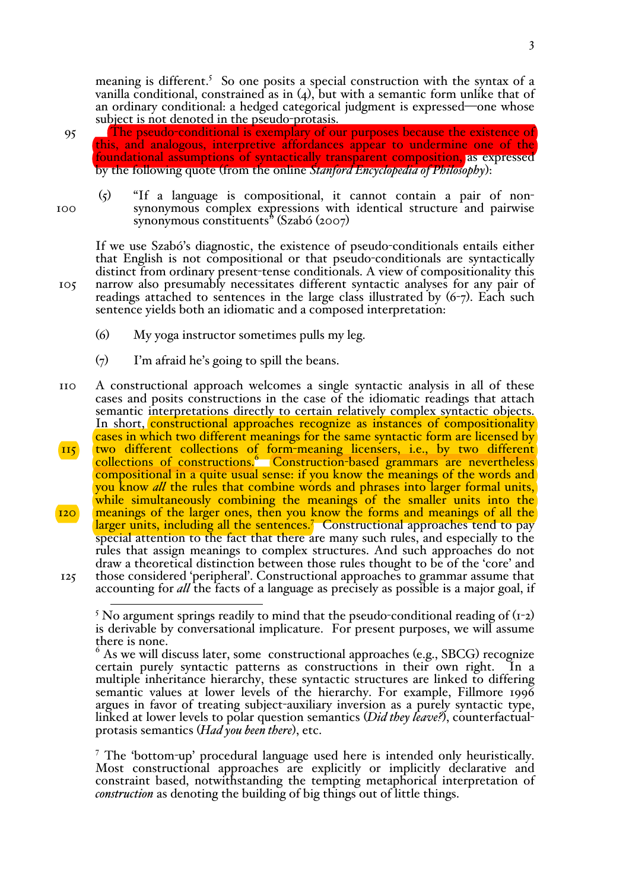3

meaning is different.<sup>5</sup> So one posits a special construction with the syntax of a vanilla conditional, constrained as in  $(4)$ , but with a semantic form unlike that of an ordinary conditional: a hedged categorical judgment is expressed—one whose subject is not denoted in the pseudo-protasis.

95 The pseudo-conditional is exemplary of our purposes because the existence of this, and analogous, interpretive affordances appear to undermine one of the foundational assumptions of syntactically transparent composition, as expressed by the following quote (from the online *Stanford Encyclopedia of Philosophy*):

 $(5)$  "If a language is compositional, it cannot contain a pair of non-<br>100 synonymous complex expressions with identical structure and pairwise synonymous constituents" (Szabó (2007)

If we use Szabó's diagnostic, the existence of pseudo-conditionals entails either that English is not compositional or that pseudo-conditionals are syntactically distinct from ordinary present-tense conditionals. A view of compositionality this 105 narrow also presumably necessitates different syntactic analyses for any pair of readings attached to sentences in the large class illustrated by (6-7). Each such sentence yields both an idiomatic and a composed interpretation:

- (6) My yoga instructor sometimes pulls my leg.
- (7) I'm afraid he's going to spill the beans.
- 110 A constructional approach welcomes a single syntactic analysis in all of these cases and posits constructions in the case of the idiomatic readings that attach semantic interpretations directly to certain relatively complex syntactic objects. In short, constructional approaches recognize as instances of compositionality cases in which two different meanings for the same syntactic form are licensed by 115 two different collections of form-meaning licensers, i.e., by two different collections of constructions.<sup>6</sup> Construction-based grammars are nevertheless compositional in a quite usual sense: if you know the meanings of the words and you know *all* the rules that combine words and phrases into larger formal units, while simultaneously combining the meanings of the smaller units into the 120 meanings of the larger ones, then you know the forms and meanings of all the larger units, including all the sentences.<sup>7</sup> Constructional approaches tend to pay special attention to the fact that there are many such rules, and especially to the rules that assign meanings to complex structures. And such approaches do not draw a theoretical distinction between those rules thought to be of the 'core' and 125 those considered 'peripheral'. Constructional approaches to grammar assume that
- accounting for *all* the facts of a language as precisely as possible is a major goal, if

 <sup>5</sup> No argument springs readily to mind that the pseudo-conditional reading of (1-2) is derivable by conversational implicature. For present purposes, we will assume there is none.

 $^6$  As we will discuss later, some constructional approaches (e.g., SBCG) recognize certain purely syntactic patterns as constructions in their own right. In a multiple inheritance hierarchy, these syntactic structures are linked to differing semantic values at lower levels of the hierarchy. For example, Fillmore 1996 argues in favor of treating subject-auxiliary inversion as a purely syntactic type, linked at lower levels to polar question semantics (*Did they leave?*), counterfactualprotasis semantics (*Had you been there*), etc.

<sup>&</sup>lt;sup>7</sup> The 'bottom-up' procedural language used here is intended only heuristically. Most constructional approaches are explicitly or implicitly declarative and constraint based, notwithstanding the tempting metaphorical interpretation of *construction* as denoting the building of big things out of little things.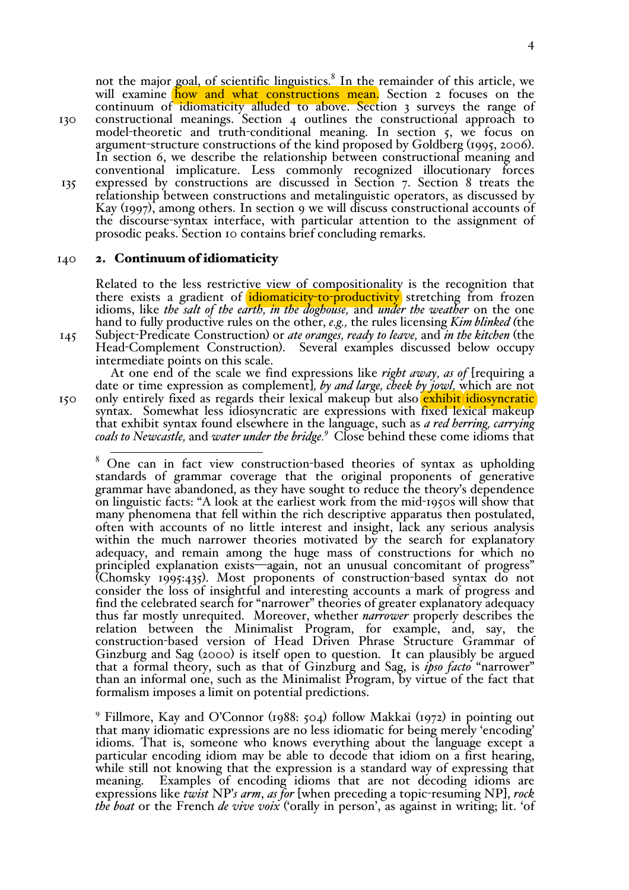not the major goal, of scientific linguistics.<sup>8</sup> In the remainder of this article, we will examine <mark>how and what constructions mean.</mark> Section 2 focuses on the continuum of idiomaticity alluded to above. Section 3 surveys the range of

130 constructional meanings. Section 4 outlines the constructional approach to model-theoretic and truth-conditional meaning. In section 5, we focus on argument-structure constructions of the kind proposed by Goldberg (1995, 2006). In section 6, we describe the relationship between constructional meaning and conventional implicature. Less commonly recognized illocutionary forces 135 expressed by constructions are discussed in Section 7. Section 8 treats the relationship between constructions and metalinguistic operators, as discussed by Kay (1997), among others. In section 9 we will discuss constructional accounts of the discourse-syntax interface, with particular attention to the assignment of prosodic peaks. Section 10 contains brief concluding remarks.

#### 140 2. Continuum of idiomaticity

Related to the less restrictive view of compositionality is the recognition that there exists a gradient of *idiomaticity* to-productivity stretching from frozen idioms, like *the salt of the earth, in the doghouse*, and *under the weather* on the one hand to fully productive rules on the other, *e.g.,* the rules licensing *Kim blinked (*the 145 Subject-Predicate Construction) or *ate oranges, ready to leave,* and *in the kitchen* (the Head-Complement Construction). Several examples discussed below occupy intermediate points on this scale.

At one end of the scale we find expressions like *right away, as of* [requiring a date or time expression as complement]*, by and large, cheek by jowl,* which are not 150 only entirely fixed as regards their lexical makeup but also exhibit idiosyncratic syntax. Somewhat less idiosyncratic are expressions with fixed lexical makeup that exhibit syntax found elsewhere in the language, such as *a red herring, carrying coals to Newcastle,* and *water under the bridge.<sup>9</sup>* Close behind these come idioms that

9 Fillmore, Kay and O'Connor (1988: 504) follow Makkai (1972) in pointing out that many idiomatic expressions are no less idiomatic for being merely 'encoding' idioms. That is, someone who knows everything about the language except a particular encoding idiom may be able to decode that idiom on a first hearing, while still not knowing that the expression is a standard way of expressing that meaning. Examples of encoding idioms that are not decoding idioms are expressions like *twist* NP'*s arm*, *as for* [when preceding a topic-resuming NP], *rock the boat* or the French *de vive voix* ('orally in person', as against in writing; lit. 'of

<sup>&</sup>lt;sup>8</sup> One can in fact view construction-based theories of syntax as upholding standards of grammar coverage that the original proponents of generative grammar have abandoned, as they have sought to reduce the theory's dependence on linguistic facts: "A look at the earliest work from the mid-1950s will show that many phenomena that fell within the rich descriptive apparatus then postulated, often with accounts of no little interest and insight, lack any serious analysis within the much narrower theories motivated by the search for explanatory<br>adequacy, and remain among the huge mass of constructions for which no<br>principled explanation exists—again, not an unusual concomitant of progress"<br> consider the loss of insightful and interesting accounts a mark of progress and thus far mostly unrequited. Moreover, whether *narrower* properly describes the relation between the Minimalist Program, for example, and, say, the construction-based version of Head Driven Phrase Structure Grammar of Ginzburg and Sag (2000) is itself open to question. It can plausibly be argued that a formal theory, such as that of Ginzburg and Sag, is *ipso facto* "narrower" than an informal one, such as the Minimalist Program, by virtue of the fact that formalism imposes a limit on potential predictions.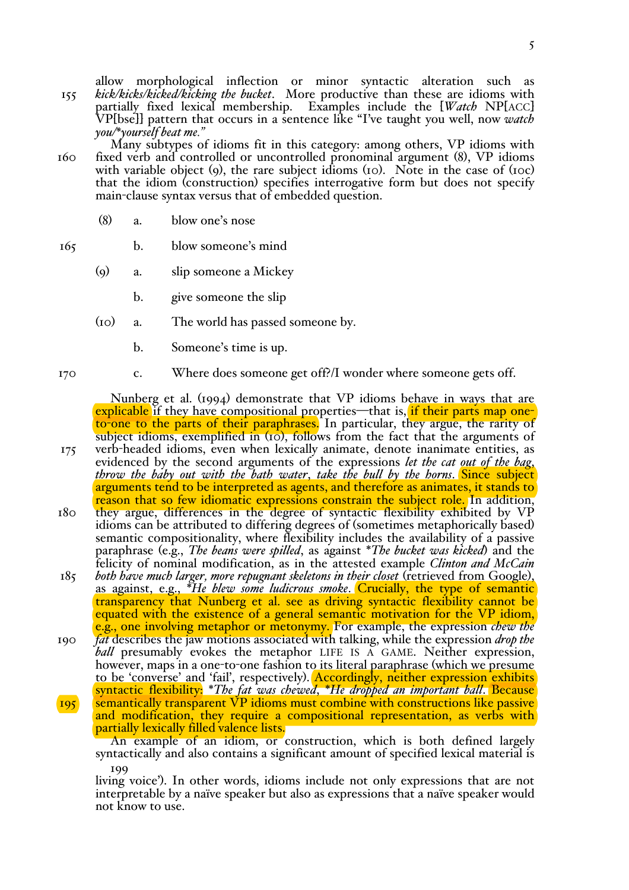allow morphological inflection or minor syntactic alteration such as 155 *kick/kicks/kicked/kicking the bucket*. More productive than these are idioms with partially fixed lexical membership. Examples include the [*Watch* NP[ACC] VP[bse]] pattern that occurs in a sentence like "I've taught you well, now *watch you/\*yourself beat me."*

- Many subtypes of idioms fit in this category: among others, VP idioms with 160 fixed verb and controlled or uncontrolled pronominal argument (8), VP idioms with variable object (9), the rare subject idioms (10). Note in the case of (10c) that the idiom (construction) specifies interrogative form but does not specify main-clause syntax versus that of embedded question.
	- (8) a. blow one's nose
- 165 b. blow someone's mind
	- (9) a. slip someone a Mickey
		- b. give someone the slip
	- (10) a. The world has passed someone by.
		- b. Someone's time is up.
- 
- 170 c. Where does someone get off?/I wonder where someone gets off.

Nunberg et al. (1994) demonstrate that VP idioms behave in ways that are explicable if they have compositional properties—that is, if their parts map oneto-one to the parts of their paraphrases. In particular, they argue, the rarity of subject idioms, exemplified in (10), follows from the fact that the arguments of 175 verb-headed idioms, even when lexically animate, denote inanimate entities, as

evidenced by the second arguments of the expressions *let the cat out of the bag*, *throw the baby out with the bath water*, *take the bull by the horns*. Since subject arguments tend to be interpreted as agents, and therefore as animates, it stands to reason that so few idiomatic expressions constrain the subject role. In addition,

- 180 they argue, differences in the degree of syntactic flexibility exhibited by VP idioms can be attributed to differing degrees of (sometimes metaphorically based) semantic compositionality, where flexibility includes the availability of a passive paraphrase (e.g., *The beans were spilled*, as against \**The bucket was kicked*) and the felicity of nominal modification, as in the attested example *Clinton and McCain*
- 185 *both have much larger, more repugnant skeletons in their closet* (retrieved from Google), as against, e.g., \**He blew some ludicrous smoke*. Crucially, the type of semantic transparency that Nunberg et al. see as driving syntactic flexibility cannot be equated with the existence of a general semantic motivation for the VP idiom, e.g., one involving metaphor or metonymy. For example, the expression *chew the*
- 190 *fat* describes the jaw motions associated with talking, while the expression *drop the ball* presumably evokes the metaphor LIFE IS A GAME. Neither expression, however, maps in a one-to-one fashion to its literal paraphrase (which we presume to be 'converse' and 'fail', respectively). Accordingly, neither expression exhibits syntactic flexibility: \**The fat was chewed*, \**He dropped an important ball*. Because 195 semantically transparent VP idioms must combine with constructions like passive and modification, they require a compositional representation, as verbs with partially lexically filled valence lists.

An example of an idiom, or construction, which is both defined largely syntactically and also contains a significant amount of specified lexical material is

living voice'). In other words, idioms include not only expressions that are not interpretable by a naïve speaker but also as expressions that a naïve speaker would not know to use.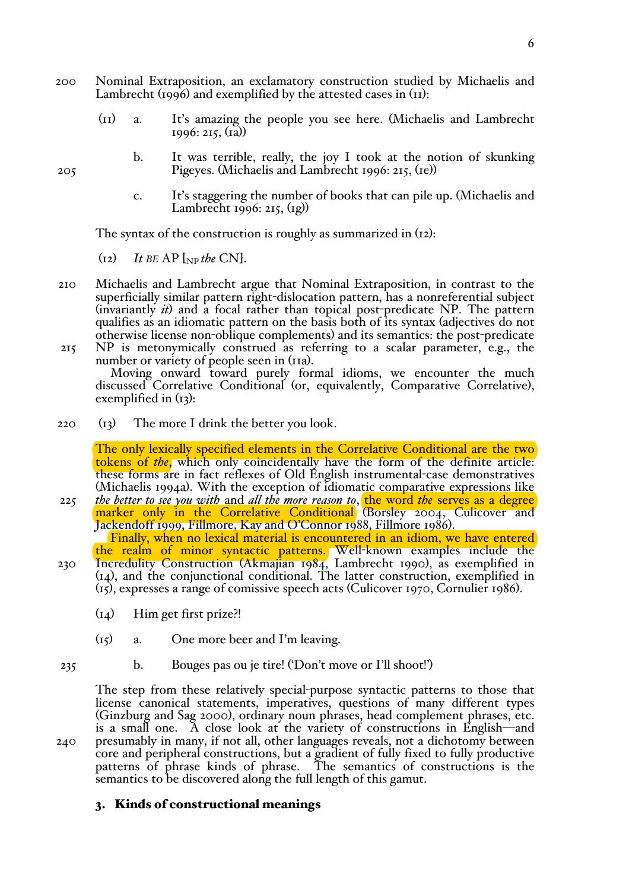- 200 Nominal Extraposition, an exclamatory construction studied by Michaelis and Lambrecht (1996) and exemplified by the attested cases in  $(II)$ :
	- (11) a. It's amazing the people you see here. (Michaelis and Lambrecht 1996: 215, (1a))
- b. It was terrible, really, the joy I took at the notion of skunking 205 Pigeyes. (Michaelis and Lambrecht 1996: 215, (1e))
	- c. It's staggering the number of books that can pile up. (Michaelis and Lambrecht 1996: 215, (1g)

The syntax of the construction is roughly as summarized in (12):

- $(I_12)$  *It BE* AP  $\left[\frac{N}{N}$ *the* CN.
- 210 Michaelis and Lambrecht argue that Nominal Extraposition, in contrast to the superficially similar pattern right-dislocation pattern, has a nonreferential subject  $(invariantly *it*)$  and a focal rather than topical post-predicate NP. The pattern qualifies as an idiomatic pattern on the basis both of its syntax (adjectives do not qualifies as an idiomatic pattern on the basis both of its syntax (adjectives do not otherwise license non-oblique complements) and its semantics: the post-predicate
- 215 NP is metonymically construed as referring to a scalar parameter, e.g., the number or variety of people seen in  $(11a)$ .

Moving onward toward purely formal idioms, we encounter the much discussed Correlative Conditional (or, equivalently, Comparative Correlative), exemplified in  $(i3)$ :

220 (13) The more I drink the better you look.

The only lexically specified elements in the Correlative Conditional are the two tokens of *the*, which only coincidentally have the form of the definite article: these forms are in fact reflexes of Old English instrumental-case demonstratives (Michaelis 1994a). With the exception of idiomatic comparative expressions like

225 *the better to see you with* and *all the more reason to*, the word *the* serves as a degree marker only in the Correlative Conditional (Borsley 2004, Culicover and Jackendoff 1999, Fillmore, Kay and O'Connor 1988, Fillmore 1986).

Finally, when no lexical material is encountered in an idiom, we have entered the realm of minor syntactic patterns. Well-known examples include the 230 Incredulity Construction (Akmajian 1984, Lambrecht 1990), as exemplified in (14), and the conjunctional conditional. The latter construction, exemplified in (15), expresses a range of comissive speech acts (Culicover 1970, Cornulier 1986).

- $(i<sub>4</sub>)$  Him get first prize?!
- (15) a. One more beer and I'm leaving.
- 235 b. Bouges pas ou je tire! ('Don't move or I'll shoot!')

license canonical statements, imperatives, questions of many different types (Ginzburg and Sag 2000), ordinary noun phrases, head complement phrases, etc. is a small one. A close look at the variety of constructions in English—and presumably in many, if not all, other languages reveals, not a dichotomy between <sup>240</sup> presumably in many, if not all, other languages reveals, not a dichotomy between core and peripheral constructions, but a gradient of fully fixed to fully productive patterns of phrase kinds of phrase. The semantics of constructions is the semantics to be discovered along the full length of this gamut.

The step from these relatively special-purpose syntactic patterns to those that

## 3. Kinds of constructional meanings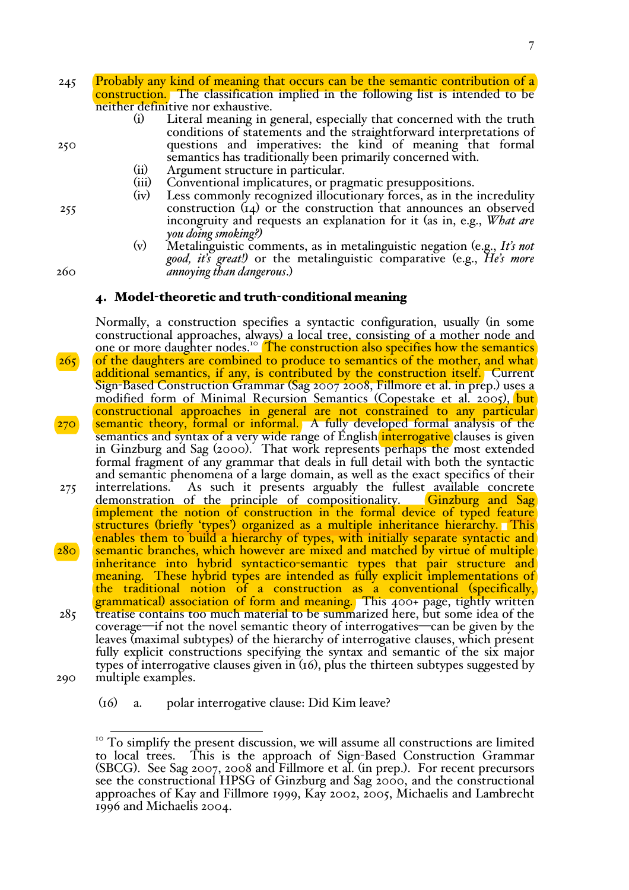- 245 Probably any kind of meaning that occurs can be the semantic contribution of a construction. The classification implied in the following list is intended to be neither definitive nor exhaustive.
- (i) Literal meaning in general, especially that concerned with the truth conditions of statements and the straightforward interpretations of 250 questions and imperatives: the kind of meaning that formal semantics has traditionally been primarily concerned with.<br>Argument structure in particular.
	-
	-
- (ii) Argument structure in particular. (iii) Conventional implicatures, or pragmatic presuppositions. (iv) Less commonly recognized illocutionary forces, as in the incredulity 255 construction (14) or the construction that announces an observed incongruity and requests an explanation for it (as in, e.g., *What are you doing smoking?)*
- (v) Metalinguistic comments, as in metalinguistic negation (e.g., *It's not good, it's great!)* or the metalinguistic comparative (e.g., *He's more*  260 *annoying than dangerous*.)

#### 4. Model-theoretic and truth-conditional meaning

Normally, a construction specifies a syntactic configuration, usually (in some constructional approaches, always) a local tree, consisting of a mother node and one or more daughter nodes.<sup>10</sup> The construction also specifies how the semantics 265 of the daughters are combined to produce to semantics of the mother, and what additional semantics, if any, is contributed by the construction itself. Current Sign-Based Construction Grammar (Sag 2007 2008, Fillmore et al. in prep.) uses a modified form of Minimal Recursion Semantics (Copestake et al. 2005), but constructional approaches in general are not constrained to any particular 270 semantic theory, formal or informal. A fully developed formal analysis of the semantics and syntax of a very wide range of English interrogative clauses is given in Ginzburg and Sag (2000). That work represents perhaps the most extended formal fragment of any grammar that deals in full detail with both the syntactic and semantic phenomena of a large domain, as well as the exact specifics of their 275 interrelations. As such it presents arguably the fullest available concrete demonstration of the principle of compositionality. Ginzburg and Sag implement the notion of construction in the formal device of typed feature structures (briefly 'types') organized as a multiple inheritance hierarchy. This enables them to build a hierarchy of types, with initially separate syntactic and 280 semantic branches, which however are mixed and matched by virtue of multiple inheritance into hybrid syntactico-semantic types that pair structure and meaning. These hybrid types are intended as fully explicit implementations of the traditional notion of a construction as a conventional (specifically, grammatical) association of form and meaning. This 400+ page, tightly written 285 treatise contains too much material to be summarized here, but some idea of the coverage—if not the novel semantic theory of interrogatives—can be given by the leaves (maximal subtypes) of the hierarchy of interrogative clauses, which present fully explicit constructions specifying the syntax and semantic of the six major types of interrogative clauses given in (16), plus the thirteen subtypes suggested by 290 multiple examples.

(16) a. polar interrogative clause: Did Kim leave?

<sup>&</sup>lt;sup>10</sup> To simplify the present discussion, we will assume all constructions are limited to local trees. This is the approach of Sign-Based Construction Grammar This is the approach of Sign-Based Construction Grammar (SBCG). See Sag 2007, 2008 and Fillmore et al. (in prep.). For recent precursors approaches of Kay and Fillmore 1999, Kay 2002, 2005, Michaelis and Lambrecht 1996 and Michaelis 2004.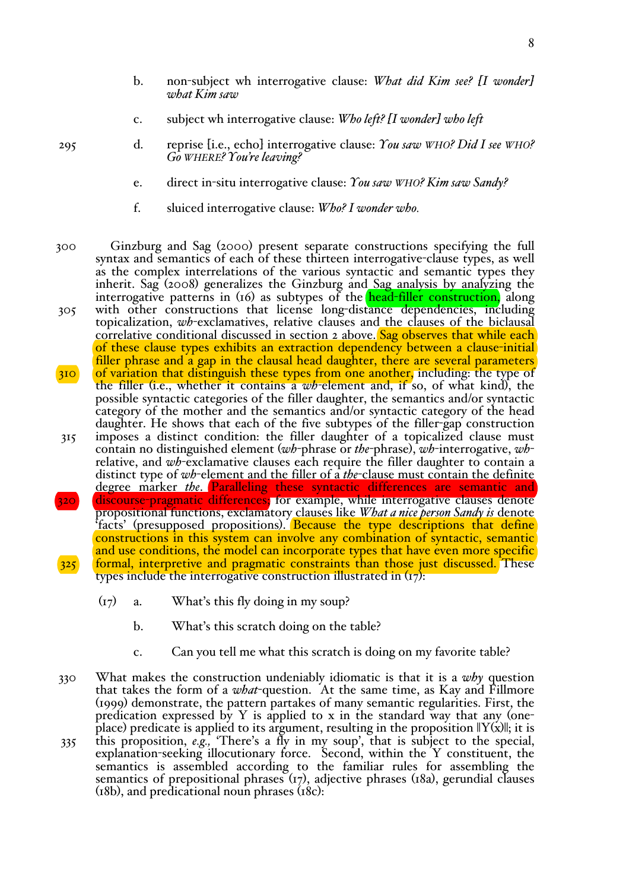- b. non-subject wh interrogative clause: *What did Kim see? [I wonder] what Kim saw*
- c. subject wh interrogative clause: *Who left? [I wonder] who left*

- 295 d. reprise [i.e., echo] interrogative clause: *You saw WHO? Did I see WHO? Go WHERE? You're leaving?*
	- e. direct in-situ interrogative clause: *You saw WHO? Kim saw Sandy?*
	- f. sluiced interrogative clause: *Who? I wonder who.*
- 300 Ginzburg and Sag (2000) present separate constructions specifying the full syntax and semantics of each of these thirteen interrogative-clause types, as well as the complex interrelations of the various syntactic and s inherit. Sag (2008) generalizes the Ginzburg and Sag analysis by analyzing the interrogative patterns in (16) as subtypes of the <mark>head-filler construction,</mark> along 305 with other constructions that license long-distance dependencies, including topicalization, *wh*-exclamatives, relative clauses and the clauses of the biclausal correlative conditional discussed in section 2 above. Sag of these clause types exhibits an extraction dependency between a clause-initial filler phrase and a gap in the clausal head daughter, there are several parameters 310 of variation that distinguish these types from one another, including: the type of the filler (i.e., whether it contains a *wh-*element and, if so, of what kind), the possible syntactic categories of the filler daughter, the semantics and/or syntactic category of the mother and the semantics and/or syntactic category of the head daughter. He shows that each of the five subtypes of the filler-gap construction 315 imposes a distinct condition: the filler daughter of a topicalized clause must contain no distinguished element (*wh*-phrase or *the*-phrase), *wh*-interrogative, *wh*relative, and *wh*-exclamative clauses each require the filler daughter to contain a distinct type of *wh*-element and the filler of a *the*-clause must contain the definite degree marker *the*. Paralleling these syntactic differences are semantic and 320 discourse-pragmatic differences; for example, while interrogative clauses denote propositional functions, exclamatory clauses like *What a nice person Sandy is* denote 'facts' (presupposed propositions). Because the type descriptions that define constructions in this system can involve any combination of syntactic, semantic and use conditions, the model can incorporate types that have even more specific 325 formal, interpretive and pragmatic constraints than those just discussed. These
	- types include the interrogative construction illustrated in  $(\frac{1}{2})$ :
		- $(r_7)$  a. What's this fly doing in my soup?
			- b. What's this scratch doing on the table?
			- c. Can you tell me what this scratch is doing on my favorite table?
- 330 What makes the construction undeniably idiomatic is that it is a *why* question that takes the form of a *what*-question. At the same time, as Kay and Fillmore (1999) demonstrate, the pattern partakes of many semantic regularities. First, the predication expressed by Y is applied to x in the standard way that any (oneplace) predicate is applied to its argument, resulting in the proposition  $\|Y(x)\|$ ; it is <sup>335</sup> this proposition, *e.g.,* 'There's a fly in my soup', that is subject to the special, explanation-seeking illocutionary force. Second, within the Y constituent, the semantics is assembled according to the familiar rules for assembling the semantics of prepositional phrases  $(r_7)$ , adjective phrases  $(18a)$ , gerundial clauses (18b), and predicational noun phrases (18c):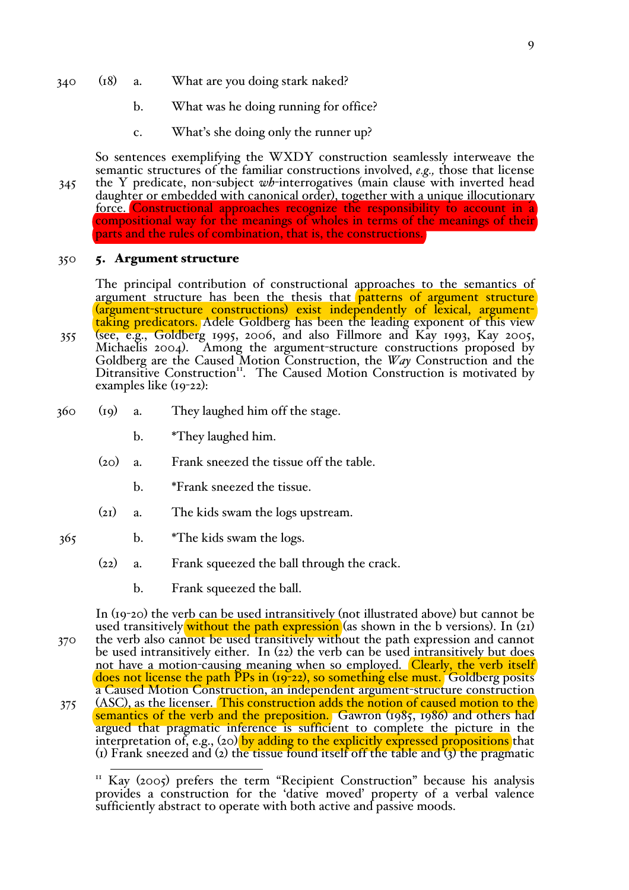- 340 (18) a. What are you doing stark naked?
	- b. What was he doing running for office?
	- c. What's she doing only the runner up?

So sentences exemplifying the WXDY construction seamlessly interweave the semantic structures of the familiar constructions involved, *e.g.,* those that license 345 the Y predicate, non-subject *wh*-interrogatives (main clause with inverted head daughter or embedded with canonical order), together with a unique illocutionary force. Constructional approaches recognize the responsibility to account in a compositional way for the meanings of wholes in terms of the meanings of their parts and the rules of combination, that is, the constructions.

# 350 5. Argument structure

The principal contribution of constructional approaches to the semantics of argument structure has been the thesis that **patterns** of argument structure (argument-structure constructions) exist independently of lexical, argument-<br>taking predicators. Adele Goldberg has been the leading exponent of this view<br>(see, e.g., Goldberg 1995, 2006, and also Fillmore and Kay 1993, Ka <sup>355</sup> (see, e.g., Goldberg 1995, 2006, and also Fillmore and Kay 1993, Kay 2005, Michaelis 2004). Among the argument-structure constructions proposed by

- Goldberg are the Caused Motion Construction, the *Way* Construction and the Ditransitive Construction<sup>11</sup>. The Caused Motion Construction is motivated by examples like (19-22):
- 360 (19) a. They laughed him off the stage.
	- b. \*They laughed him.
	- (20) a. Frank sneezed the tissue off the table.
		- b. \*Frank sneezed the tissue.
	- (21) a. The kids swam the logs upstream.
- 365 b. \*The kids swam the logs.
	- (22) a. Frank squeezed the ball through the crack.
		- b. Frank squeezed the ball.

In (19-20) the verb can be used intransitively (not illustrated above) but cannot be used transitively without the path expression (as shown in the b versions). In  $(21)$ 370 the verb also cannot be used transitively without the path expression and cannot be used intransitively either. In (22) the verb can be used intransitively but does not have a motion-causing meaning when so employed. Clearly, the verb itself does not license the path  $\overline{PPs}$  in (19-22), so something else must. Goldberg posits a Caused Motion Construction, an independent argument-structure construction 375 (ASC), as the licenser. This construction adds the notion of caused motion to the semantics of the verb and the preposition. Gawron (1985, 1986) and others had argued that pragmatic inference is sufficient to complete the picture in the interpretation of, e.g., (20) by adding to the explicitly expressed propositions that (1) Frank sneezed and (2) the tissue found itself off the table and (3) the pragmatic

<sup>&</sup>lt;sup>11</sup> Kay (2005) prefers the term "Recipient Construction" because his analysis provides a construction for the 'dative moved' property of a verbal valence sufficiently abstract to operate with both active and passive mood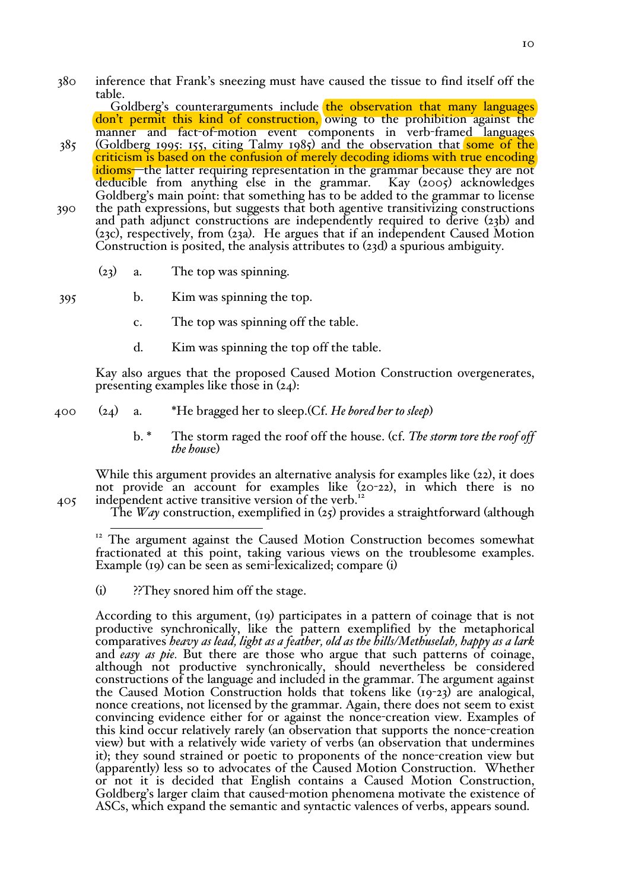380 inference that Frank's sneezing must have caused the tissue to find itself off the table.

Goldberg's counterarguments include the observation that many languages don't permit this kind of construction, owing to the prohibition against the manner and fact-of-motion event components in verb-framed languages 385 (Goldberg 1995: 155, citing Talmy 1985) and the observation that some of the criticism is based on the confusion of merely decoding idioms with true encoding idioms—the latter requiring representation in the grammar because they are not deducible from anything else in the grammar. Kay (2005) acknowledges<br>Goldberg's main point: that something has to be added to the grammar to license

- 390 the path expressions, but suggests that both agentive transitivizing constructions and path adjunct constructions are independently required to derive (23b) and (23c), respectively, from (23a). He argues that if an independent Caused Motion Construction is posited, the analysis attributes to (23d) a spurious ambiguity.
	- (23) a. The top was spinning.
- 
- 395 b. Kim was spinning the top.
	- c. The top was spinning off the table.
	- d. Kim was spinning the top off the table.

Kay also argues that the proposed Caused Motion Construction overgenerates, presenting examples like those in (24):

- 400 (24) a. \*He bragged her to sleep.(Cf. *He bored her to sleep*)
	- b. \* The storm raged the roof off the house. (cf. *The storm tore the roof off the hous*e)

While this argument provides an alternative analysis for examples like (22), it does not provide an account for examples like (20-22), in which there is no 405 independent active transitive version of the verb.

The *Way* construction, exemplified in (25) provides a straightforward (although

<sup>12</sup> The argument against the Caused Motion Construction becomes somewhat fractionated at this point, taking various views on the troublesome examples. Example (19) can be seen as semi-lexicalized; compare (i)

(i) ??They snored him off the stage.

According to this argument, (19) participates in a pattern of coinage that is not productive synchronically, like the pattern exemplified by the metaphorical comparatives *heavy as lead, light as a feather, old as the hills/Methuselah, happy as a lark*  and *easy as pie.* But there are those who argue that such patterns of coinage, although not productive synchronically, should nevertheless be considered constructions of the language and included in the grammar. The argument against the Caused Motion Construction holds that tokens like (19-23) are analogical, nonce creations, not licensed by the grammar. Again, there does not seem to exist convincing evidence either for or against the nonce-creation view. Examples of this kind occur relatively rarely (an observation that supports the nonce-creation view) but with a relatively wide variety of verbs (an observation that undermines it); they sound strained or poetic to proponents of the nonce-creation view but (apparently) less so to advocates of the Caused Motion Construction. Whether or not it is decided that English contains a Caused Motion Construction, Goldberg's larger claim that caused-motion phenomena motivate the existence of ASCs, which expand the semantic and syntactic valences of verbs, appears sound.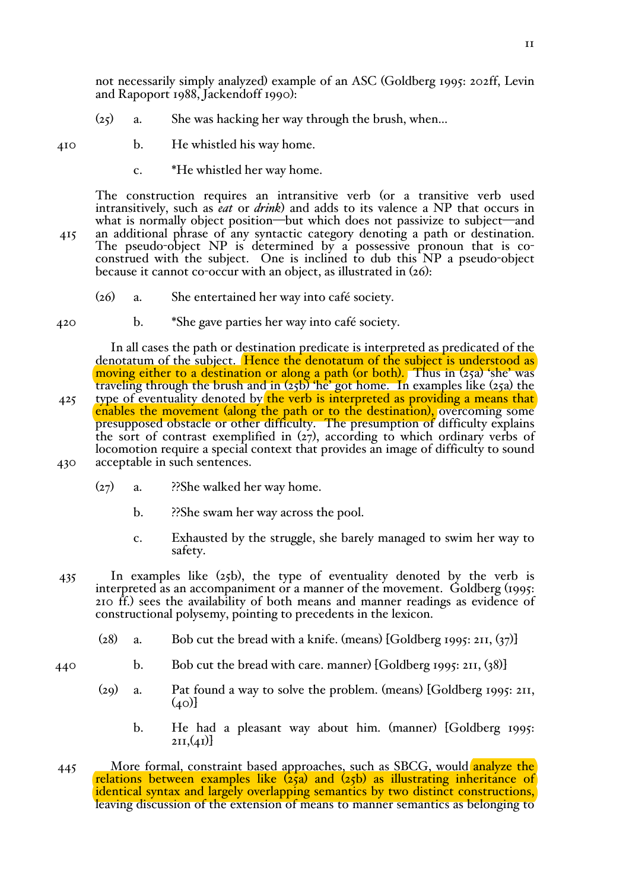not necessarily simply analyzed) example of an ASC (Goldberg 1995: 202ff, Levin and Rapoport 1988, Jackendoff 1990):

(25) a. She was hacking her way through the brush, when...

- 410 b. He whistled his way home.
	- c. \*He whistled her way home.

The construction requires an intransitive verb (or a transitive verb used intransitively, such as *eat* or *drink*) and adds to its valence a NP that occurs in what is normally object position—but which does not passivize to subject—and 415 an additional phrase of any syntactic category denoting a path or destination.<br>The pseudo-object NP is determined by a possessive pronoun that is coconstrued with the subject. One is inclined to dub this NP a pseudo-object because it cannot co-occur with an object, as illustrated in  $(26)$ :

- (26) a. She entertained her way into café society.
- 420 b. \*She gave parties her way into café society.

In all cases the path or destination predicate is interpreted as predicated of the denotatum of the subject. Hence the denotatum of the subject is understood as moving either to a destination or along a path (or both). Thus in (25a) 'she' was traveling through the brush and in (25b) 'he' got home. In examples like (25a) the 425 type of eventuality denoted by the verb is interpreted as providing a means that enables the movement (along the path or to the destination), overcoming some presupposed obstacle or other difficulty. The presumption of difficulty explains the sort of contrast exemplified in  $(27)$ , according to which ordinary verbs of locomotion require a special context that provides an image of difficulty to sound

- 430 acceptable in such sentences.
	- (27) a. ??She walked her way home.
		- b. ??She swam her way across the pool.
		- c. Exhausted by the struggle, she barely managed to swim her way to safety.
- 435 In examples like (25b), the type of eventuality denoted by the verb is interpreted as an accompaniment or a manner of the movement. Goldberg (1995: 210 ff.) sees the availability of both means and manner readings as evidence of constructional polysemy, pointing to precedents in the lexicon.
	- (28) a. Bob cut the bread with a knife. (means) [Goldberg 1995: 211,  $(37)$ ]

- 440 b. Bob cut the bread with care. manner) [Goldberg 1995: 211, (38)]
	- (29) a. Pat found a way to solve the problem. (means) [Goldberg 1995: 211,  $(40)$ 
		- b. He had a pleasant way about him. (manner) [Goldberg 1995:  $2II,(4I)$
- 445 More formal, constraint based approaches, such as SBCG, would analyze the relations between examples like (25a) and (25b) as illustrating inheritance of identical syntax and largely overlapping semantics by two distinct constructions, leaving discussion of the extension of means to manner semantics as belonging to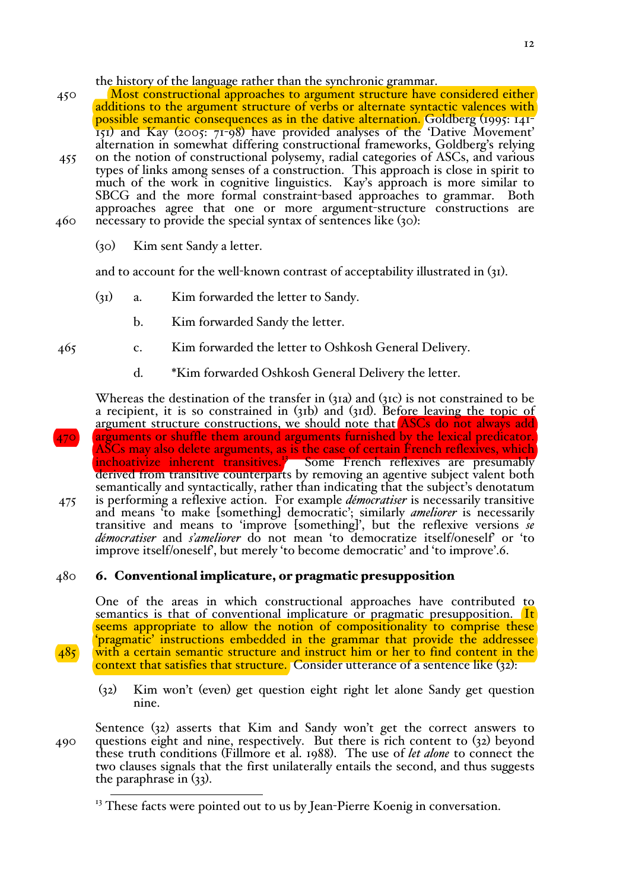the history of the language rather than the synchronic grammar.

- 450 Most constructional approaches to argument structure have considered either additions to the argument structure of verbs or alternate syntactic valences with possible semantic consequences as in the dative alternation. Goldberg (1995: 141- 151) and Kay (2005: 71-98) have provided analyses of the 'Dative Movement' alternation in somewhat differing constructional frameworks, Goldberg's relying 455 on the notion of constructional polysemy, radial categories of ASCs, and various types of links among senses of a construction. This approach is close in spirit to much of the work in cognitive linguistics. Kay's approach is more similar to SBCG and the more formal constraint-based approaches to grammar. Both approaches agree that one or more argument-structure constructions are 460 necessary to provide the special syntax of sentences like (30):
	- (30) Kim sent Sandy a letter.

and to account for the well-known contrast of acceptability illustrated in (31).

- (31) a. Kim forwarded the letter to Sandy.
	- b. Kim forwarded Sandy the letter.
- 465 c. Kim forwarded the letter to Oshkosh General Delivery.
	- d. \*Kim forwarded Oshkosh General Delivery the letter.
- Whereas the destination of the transfer in (31a) and (31c) is not constrained to be a recipient, it is so constrained in (31b) and (31d). Before leaving the topic of argument structure constructions, we should note that ASCs do not always add 470 arguments or shuffle them around arguments furnished by the lexical predicator. ASCs may also delete arguments, as is the case of certain French reflexives, which inchoativize inherent transitives.<sup>13</sup> Some French reflexives are presumably derived from transitive counterparts by removing an agentive subject valent both semantically and syntactically, rather than indicating that the subject's denotatum 475 is performing a reflexive action. For example *démocratiser* is necessarily transitive and means 'to make [something] democratic'; similarly *ameliorer* is necessarily transitive and means to 'improve [something]', but the reflexive versions *se démocratiser* and *s'ameliorer* do not mean 'to democratize itself/oneself' or 'to improve itself/oneself', but merely 'to become democratic' and 'to improve'.6.

# 480 6. Conventional implicature, or pragmatic presupposition

One of the areas in which constructional approaches have contributed to semantics is that of conventional implicature or pragmatic presupposition. It seems appropriate to allow the notion of compositionality to comprise these 'pragmatic' instructions embedded in the grammar that provide the addressee 485 with a certain semantic structure and instruct him or her to find content in the context that satisfies that structure. Consider utterance of a sentence like (32):

(32) Kim won't (even) get question eight right let alone Sandy get question nine.

Sentence (32) asserts that Kim and Sandy won't get the correct answers to <sup>490</sup> questions eight and nine, respectively. But there is rich content to (32) beyond these truth conditions (Fillmore et al. 1988). The use of *let alone* to connect the two clauses signals that the first unilaterally entails the second, and thus suggests the paraphrase in (33).

 $13$  These facts were pointed out to us by Jean-Pierre Koenig in conversation.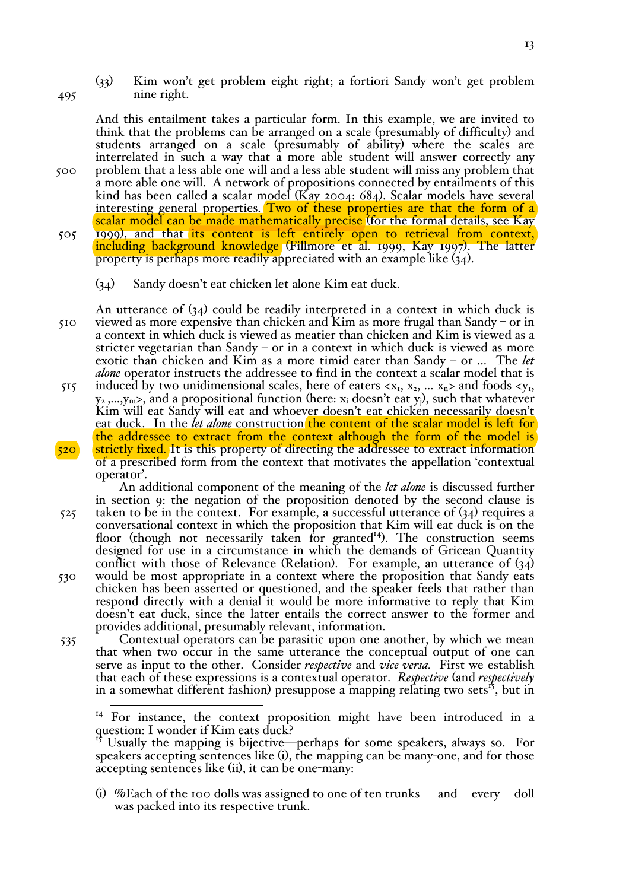(33) Kim won't get problem eight right; a fortiori Sandy won't get problem 495 nine right.

And this entailment takes a particular form. In this example, we are invited to think that the problems can be arranged on a scale (presumably of difficulty) and students arranged on a scale (presumably of ability) where the scales are interrelated in such a way that a more able student will answer correctly any 500 problem that a less able one will and a less able student will miss any problem that a more able one will. A network of propositions connected by entailments of this kind has been called a scalar model (Kay 2004: 684). Scalar models have several interesting general properties. Two of these properties are that the form of a scalar model can be made mathematically precise (for the formal details, see Kay<br>1999), and that its content is left entirely open to retrieval from context, 505 1999), and that its content is left entirely open to retrieval from context, including background knowledge (Fillmore et al. 1999, Kay 1997). The latter property is perhaps more readily appreciated with an example like (34).

(34) Sandy doesn't eat chicken let alone Kim eat duck.

An utterance of  $(34)$  could be readily interpreted in a context in which duck is  $510$  viewed as more expensive than chicken and Kim as more frugal than Sandy – or in a context in which duck is viewed as meatier than chicken and Kim is viewed as a stricter vegetarian than Sandy – or in a context in which duck is viewed as more exotic than chicken and Kim as a more timid eater than Sandy – or ... The *let alone* operator instructs the addressee to find in the context a scalar model that is 515 induced by two unidimensional scales, here of eaters  $\langle x_1, x_2, ... x_n \rangle$  and foods  $\langle y_1, y_2, ... y_n \rangle$  $y_2,...,y_m$ , and a propositional function (here:  $x_i$  doesn't eat  $y_i$ ), such that whatever Kim will eat Sandy will eat and whoever doesn't eat chicken necessarily doesn't eat duck. In the *let alone* construction the content of the scalar model is left for the addressee to extract from the context although the form of the model is 520 strictly fixed. It is this property of directing the addressee to extract information of a prescribed form from the context that motivates the appellation 'contextual

operator'. An additional component of the meaning of the *let alone* is discussed further in section 9: the negation of the proposition denoted by the second clause is 525 taken to be in the context. For example, a successful utterance of  $(34)$  requires a conversational context in which the proposition that Kim will eat duck is on the floor (though not necessarily taken for granted<sup>14</sup>). The construction seems

- designed for use in a circumstance in which the demands of Gricean Quantity conflict with those of Relevance (Relation). For example, an utterance of  $(34)$ 530 would be most appropriate in a context where the proposition that Sandy eats chicken has been asserted or questioned, and the speaker feels that rather than respond directly with a denial it would be more informative to reply that Kim doesn't eat duck, since the latter entails the correct answer to the former and provides additional, presumably relevant, information.
- 535 Contextual operators can be parasitic upon one another, by which we mean that when two occur in the same utterance the conceptual output of one can serve as input to the other. Consider *respective* and *vice versa.* First we establish that each of these expressions is a contextual operator. *Respective* (and *respectively* in a somewhat different fashion) presuppose a mapping relating two sets<sup>15</sup>, but in

(i) %Each of the 100 dolls was assigned to one of ten trunks and every doll was packed into its respective trunk.

<sup>&</sup>lt;sup>14</sup> For instance, the context proposition might have been introduced in a question: I wonder if Kim eats duck?

<sup>&</sup>lt;sup>15</sup> Usually the mapping is bijective—perhaps for some speakers, always so. For speakers accepting sentences like (i), the mapping can be many-one, and for those accepting sentences like (ii), it can be one-many: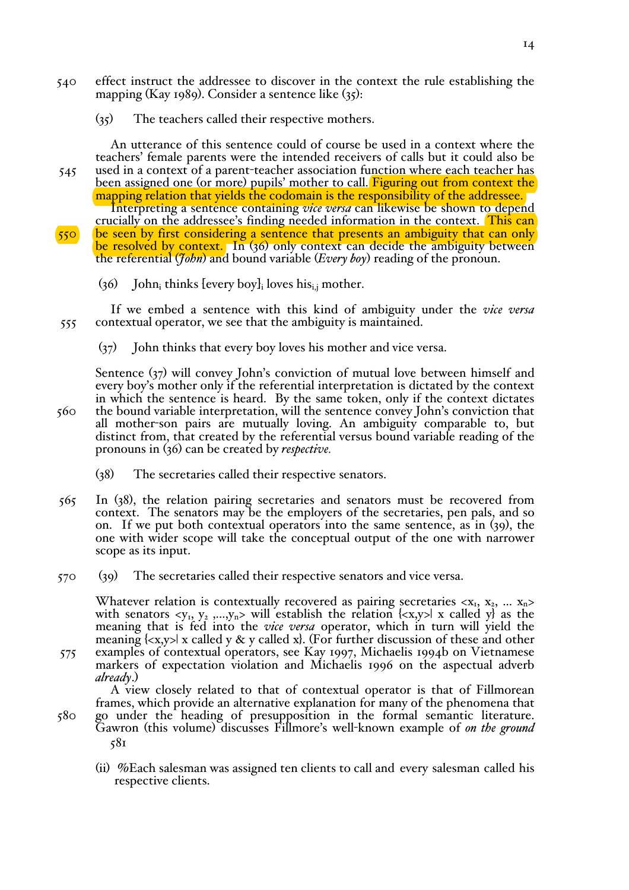- 540 effect instruct the addressee to discover in the context the rule establishing the mapping (Kay 1989). Consider a sentence like (35):
	- (35) The teachers called their respective mothers.

An utterance of this sentence could of course be used in a context where the teachers' female parents were the intended receivers of calls but it could also be 545 used in a context of a parent-teacher association function where each teacher has been assigned one (or more) pupils' mother to call. Figuring out from context the mapping relation that yields the codomain is the responsibility of the addressee.

Interpreting a sentence containing *vice versa* can likewise be shown to depend crucially on the addressee's finding needed information in the context. This can 550 be seen by first considering a sentence that presents an ambiguity that can only be resolved by context. In (36) only context can decide the ambiguity between the referential (*John*) and bound variable (*Every boy*) reading of the pronoun.

 $(36)$  John<sub>i</sub> thinks [every boy]<sub>i</sub> loves his<sub>ij</sub> mother.

If we embed a sentence with this kind of ambiguity under the *vice versa* 555 contextual operator, we see that the ambiguity is maintained.

(37) John thinks that every boy loves his mother and vice versa.

Sentence (37) will convey John's conviction of mutual love between himself and every boy's mother only if the referential interpretation is dictated by the context in which the sentence is heard. By the same token, only if the context dictates 560 the bound variable interpretation, will the sentence convey John's conviction that all mother-son pairs are mutually loving. An ambiguity comparable to, but distinct from, that created by the referential versus bound variable reading of the pronouns in (36) can be created by *respective.* 

- (38) The secretaries called their respective senators.
- 565 In (38), the relation pairing secretaries and senators must be recovered from context. The senators may be the employers of the secretaries, pen pals, and so on. If we put both contextual operators into the same sentence, as in (39), the one with wider scope will take the conceptual output of the one with narrower scope as its input.
- 570 (39) The secretaries called their respective senators and vice versa.

Whatever relation is contextually recovered as pairing secretaries  $\langle x_1, x_2, ... x_n \rangle$ with senators  $> will establish the relation  $\{$  x called y} as the$ meaning that is fed into the *vice versa* operator, which in turn will yield the meaning  $\{\}$  x called y  $\&$  y called x. (For further discussion of these and other 575 examples of contextual operators, see Kay 1997, Michaelis 1994b on Vietnamese markers of expectation violation and Michaelis 1996 on the aspectual adverb *already*.)

A view closely related to that of contextual operator is that of Fillmorean frames, which provide an alternative explanation for many of the phenomena that

- 580 go under the heading of presupposition in the formal semantic literature. Gawron (this volume) discusses Fillmore's well-known example of *on the ground* 581
	- (ii) %Each salesman was assigned ten clients to call and every salesman called his respective clients.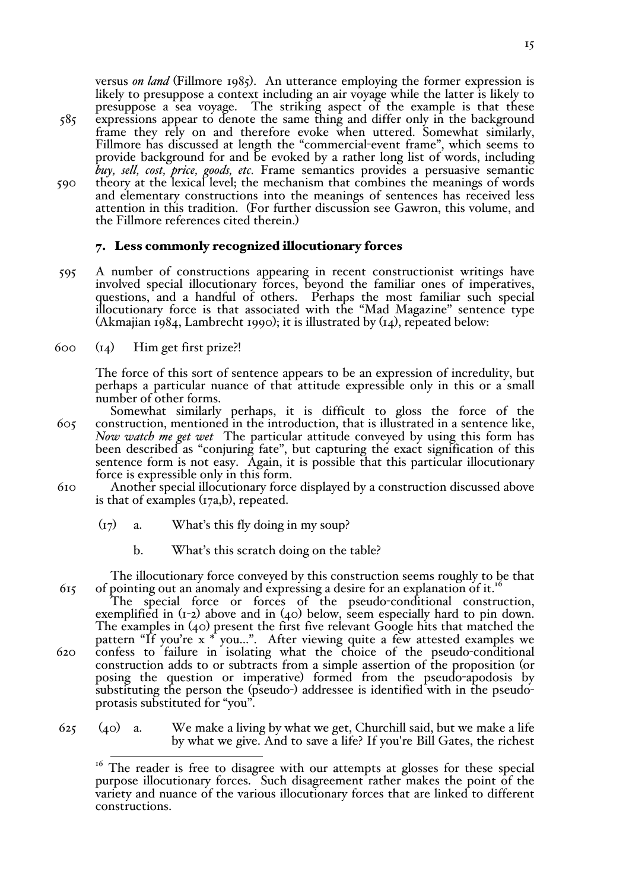versus *on land* (Fillmore 1985). An utterance employing the former expression is likely to presuppose a context including an air voyage while the latter is likely to presuppose a sea voyage. The striking aspect of the example is that these

- 585 expressions appear to denote the same thing and differ only in the background frame they rely on and therefore evoke when uttered. Somewhat similarly, Fillmore has discussed at length the "commercial-event frame", which seems to provide background for and be evoked by a rather long list of words, including *buy, sell, cost, price, goods, etc.* Frame semantics provides a persuasive semantic
- <sup>590</sup> theory at the lexical level; the mechanism that combines the meanings of words and elementary constructions into the meanings of sentences has received less attention in this tradition. (For further discussion see Gawron, this volume, and the Fillmore references cited therein.)

#### 7. Less commonly recognized illocutionary forces

- 595 A number of constructions appearing in recent constructionist writings have involved special illocutionary forces, beyond the familiar ones of imperatives, questions, and a handful of others. Perhaps the most familiar such special illocutionary force is that associated with the "Mad Magazine" sentence type (Akmajian 1984, Lambrecht 1990); it is illustrated by  $(i<sub>4</sub>)$ , repeated below:
- $600$   $(14)$  Him get first prize?!

The force of this sort of sentence appears to be an expression of incredulity, but perhaps a particular nuance of that attitude expressible only in this or a small number of other forms.

- Somewhat similarly perhaps, it is difficult to gloss the force of the 605 construction, mentioned in the introduction, that is illustrated in a sentence like, *Now watch me get wet* The particular attitude conveyed by using this form has been described as "conjuring fate", but capturing the exact signification of this sentence form is not easy. Again, it is possible that this particular illocutionary force is expressible only in this form.
- 610 Another special illocutionary force displayed by a construction discussed above is that of examples (17a,b), repeated.
	- $(r_7)$  a. What's this fly doing in my soup?
		- b. What's this scratch doing on the table?

The illocutionary force conveyed by this construction seems roughly to be that 615 of pointing out an anomaly and expressing a desire for an explanation of it.<sup>1</sup>

- The special force or forces of the pseudo-conditional construction, exemplified in (1-2) above and in (40) below, seem especially hard to pin down. The examples in (40) present the first five relevant Google hits that matched the pattern "If you're x \* you...". After viewing quite a few attested examples we 620 confess to failure in isolating what the choice of the pseudo-conditional construction adds to or subtracts from a simple assertion of the proposition (or posing the question or imperative) formed from the pseudo-apodosis by substituting the person the (pseudo-) addressee is identified with in the pseudoprotasis substituted for "you".
- $625$   $(40)$  a. We make a living by what we get, Churchill said, but we make a life by what we give. And to save a life? If you're Bill Gates, the richest

 $16$  The reader is free to disagree with our attempts at glosses for these special purpose illocutionary forces. Such disagreement rather makes the point of the variety and nuance of the various illocutionary forces that are linked to different constructions.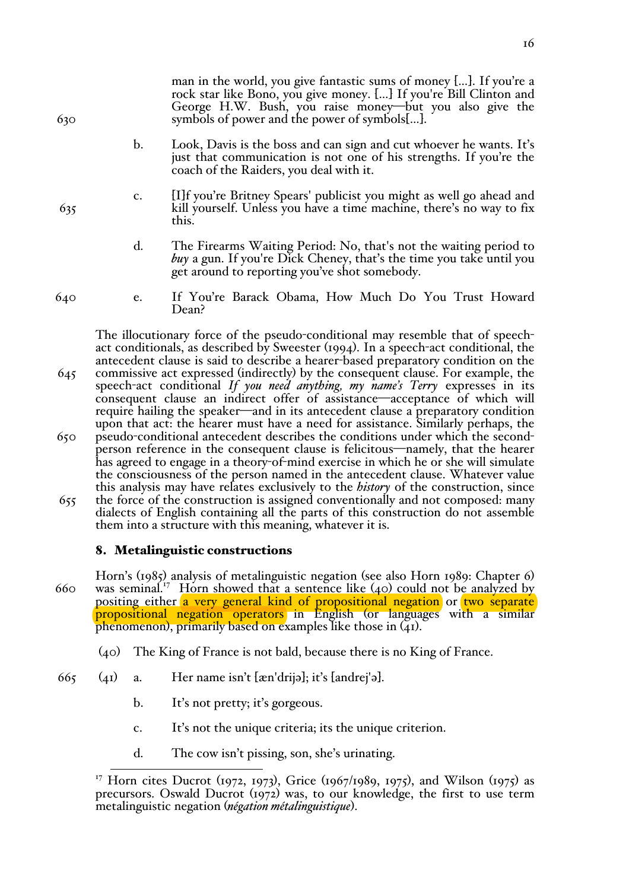630 symbols of power and the power of symbols[…].

b. Look, Davis is the boss and can sign and cut whoever he wants. It's just that communication is not one of his strengths. If you're the coach of the Raiders, you deal with it.

man in the world, you give fantastic sums of money […]. If you're a rock star like Bono, you give money. […] If you're Bill Clinton and George H.W. Bush, you raise money—but you also give the

- c. [I]f you're Britney Spears' publicist you might as well go ahead and 635 kill yourself. Unless you have a time machine, there's no way to fix this.
	- d. The Firearms Waiting Period: No, that's not the waiting period to *buy* a gun. If you're Dick Cheney, that's the time you take until you get around to reporting you've shot somebody.
- 640 e. If You're Barack Obama, How Much Do You Trust Howard Dean?

The illocutionary force of the pseudo-conditional may resemble that of speech- act conditionals, as described by Sweester (1994). In a speech-act conditional, the antecedent clause is said to describe a hearer-based preparatory condition on the 645 commissive act expressed (indirectly) by the consequent clause. For example, the speech-act conditional *If you need anything, my name's Terry* expresses in its consequent clause an indirect offer of assistance—acceptance of which will require hailing the speaker—and in its antecedent clause a preparatory condition upon that act: the hearer must have a need for assistance. Similarly perhaps, the 650 pseudo-conditional antecedent describes the conditions under which the secondperson reference in the consequent clause is felicitous—namely, that the hearer has agreed to engage in a theory-of-mind exercise in which he or she will simulate the consciousness of the person named in the antecedent clause. Whatever value

this analysis may have relates exclusively to the *history* of the construction, since 655 the force of the construction is assigned conventionally and not composed: many dialects of English containing all the parts of this construction do not assemble them into a structure with this meaning, whatever it is.

#### 8. Metalinguistic constructions

Horn's (1985) analysis of metalinguistic negation (see also Horn 1989: Chapter 6) 660 was seminal.<sup>17</sup> Horn showed that a sentence like (40) could not be analyzed by positing either a very general kind of propositional negation or two separate propositional negation operators in English (or languages with a similar  $\overline{p}$ henomenon), primarily based on examples like those in  $\overline{(41)}$ .

- (40) The King of France is not bald, because there is no King of France.
- 665  $(41)$  a. Her name isn't  $[\text{zen'}drij\phi]$ ; it's  $[\text{andre'}\phi]$ .
	- b. It's not pretty; it's gorgeous.
	- c. It's not the unique criteria; its the unique criterion.
	- d. The cow isn't pissing, son, she's urinating.

<sup>&</sup>lt;sup>17</sup> Horn cites Ducrot (1972, 1973), Grice (1967/1989, 1975), and Wilson (1975) as precursors. Oswald Ducrot (1972) was, to our knowledge, the first to use term metalinguistic negation (*négation métalinguistique*).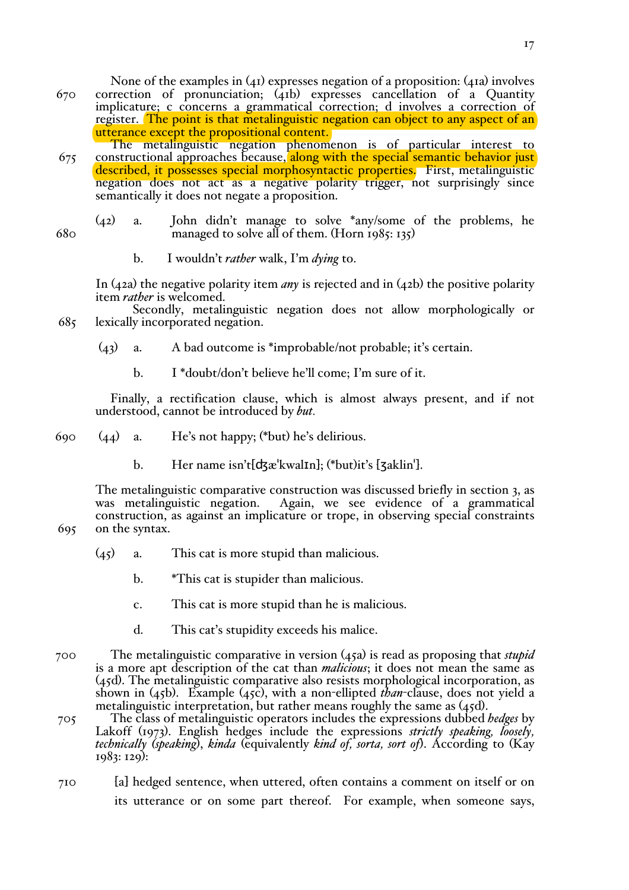None of the examples in (41) expresses negation of a proposition: (41a) involves 670 correction of pronunciation; (41b) expresses cancellation of a Quantity implicature; c concerns a grammatical correction; d involves a correction of register. The point is that metalinguistic negation can object to any aspect of an utterance except the propositional content.

- The metalinguistic negation phenomenon is of particular interest to 675 constructional approaches because, along with the special semantic behavior just described, it possesses special morphosyntactic properties. First, metalinguistic negation does not act as a negative polarity trigger, not surprisingly since semantically it does not negate a proposition.
- 

(42) a. John didn't manage to solve \*any/some of the problems, he 680 managed to solve all of them. (Horn 1985: 135)

b. I wouldn't *rather* walk, I'm *dying* to.

In (42a) the negative polarity item *any* is rejected and in (42b) the positive polarity item *rather* is welcomed.

Secondly, metalinguistic negation does not allow morphologically or 685 lexically incorporated negation.

- (43) a. A bad outcome is \*improbable/not probable; it's certain.
	- b. I \*doubt/don't believe he'll come; I'm sure of it.

Finally, a rectification clause, which is almost always present, and if not understood, cannot be introduced by *but.*

- 690  $(44)$  a. He's not happy; (\*but) he's delirious.
	- b. Her name isn't[dʒæ<sup> $\lfloor$ </sup>kwalIn]; (\*but)it's [ʒaklin<sup>']</sup>.

The metalinguistic comparative construction was discussed briefly in section 3, as was metalinguistic negation. Again, we see evidence of a grammatical construction, as against an implicature or trope, in observing special constraints 695 on the syntax.

(45) a. This cat is more stupid than malicious.

- b. \*This cat is stupider than malicious.
- c. This cat is more stupid than he is malicious.
- d. This cat's stupidity exceeds his malice.
- 700 The metalinguistic comparative in version (45a) is read as proposing that *stupid* is a more apt description of the cat than *malicious*; it does not mean the same as (45d). The metalinguistic comparative also resists morphological incorporation, as shown in (45b). Example (45c), with a non-ellipted *than*-clause, does not yield a metalinguistic interpretation, but rather means roughly the same as (45d).
- 705 The class of metalinguistic operators includes the expressions dubbed *hedges* by Lakoff (1973). English hedges include the expressions *strictly speaking, loosely, technically (speaking), kinda* (equivalently *kind of* 1983: 129):
- 710 [a] hedged sentence, when uttered, often contains a comment on itself or on its utterance or on some part thereof. For example, when someone says,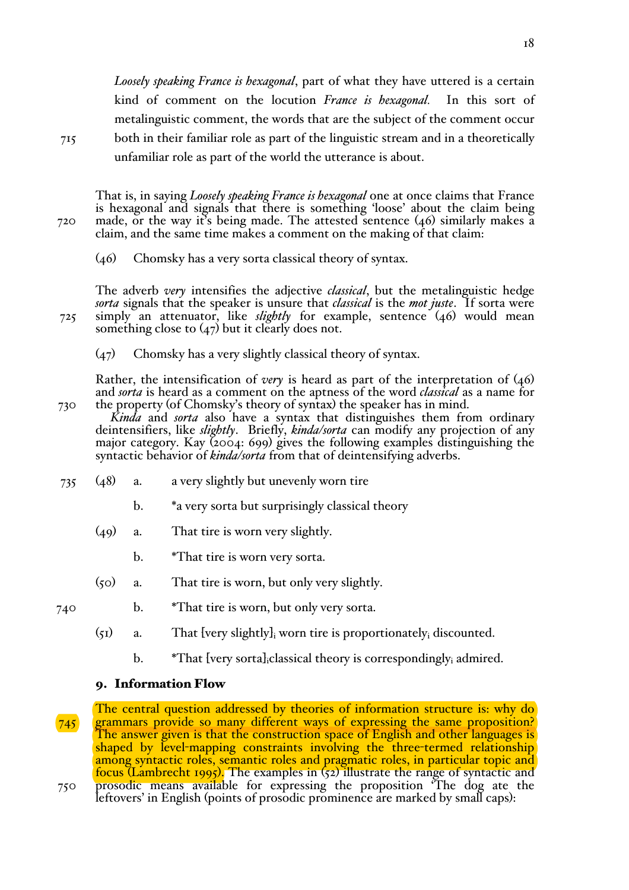*Loosely speaking France is hexagonal*, part of what they have uttered is a certain kind of comment on the locution *France is hexagonal.* In this sort of metalinguistic comment, the words that are the subject of the comment occur 715 both in their familiar role as part of the linguistic stream and in a theoretically unfamiliar role as part of the world the utterance is about.

That is, in saying *Loosely speaking France is hexagonal* one at once claims that France is hexagonal and signals that there is something 'loose' about the claim being <sup>720</sup> made, or the way it's being made. The attested sentence (46) similarly makes a claim, and the same time makes a comment on the making of that claim:

(46) Chomsky has a very sorta classical theory of syntax.

The adverb *very* intensifies the adjective *classical*, but the metalinguistic hedge *sorta* signals that the speaker is unsure that *classical* is the *mot juste*. If sorta were 725 simply an attenuator, like *slightly* for example, sentence (46) would mean something close to  $(47)$  but it clearly does not.

(47) Chomsky has a very slightly classical theory of syntax.

Rather, the intensification of *very* is heard as part of the interpretation of (46) and *sorta* is heard as a comment on the aptness of the word *classical* as a name for 730 the property (of Chomsky's theory of syntax) the speaker has in mind.

*Kinda* and *sorta* also have a syntax that distinguishes them from ordinary deintensifiers, like *slightly*. Briefly, *kinda/sorta* can modify any projection of any major category. Kay (2004: 699) gives the following examples distinguishing the syntactic behavior of *kinda/sorta* from that of deintensifying adverbs.

- 735 (48) a. a very slightly but unevenly worn tire
	- b. \*a very sorta but surprisingly classical theory
	- (49) a. That tire is worn very slightly.
		- b. \*That tire is worn very sorta.
	- (50) a. That tire is worn, but only very slightly.
- 
- 740 b. \*That tire is worn, but only very sorta.
	- $(51)$  a. That [very slightly]<sub>i</sub> worn tire is proportionately<sub>i</sub> discounted.
		- b.  $*<sup>†</sup>$  That [very sorta]<sub>i</sub>classical theory is correspondingly<sub>i</sub> admired.

## 9. Information Flow

The central question addressed by theories of information structure is: why do 745 grammars provide so many different ways of expressing the same proposition? The answer given is that the construction space of English and other languages is shaped by level-mapping constraints involving the three-termed relationship among syntactic roles, semantic roles and pragmatic roles, in particular topic and focus (Lambrecht 1995). The examples in  $(52)$  illustrate the range of syntactic and 750 prosodic means available for expressing the proposition 'The dog ate the leftovers' in English (points of prosodic prominence are marked by small caps):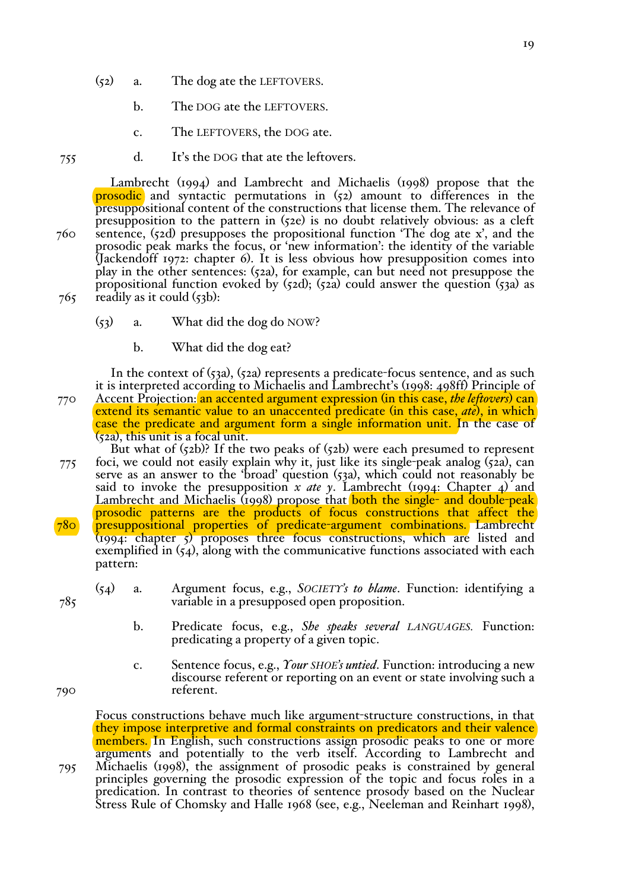- (52) a. The dog ate the LEFTOVERS.
	- b. The DOG ate the LEFTOVERS.
	- c. The LEFTOVERS, the DOG ate.
- 755 d. It's the DOG that ate the leftovers.

Lambrecht (1994) and Lambrecht and Michaelis (1998) propose that the prosodic and syntactic permutations in (52) amount to differences in the presuppositional content of the constructions that license them. The relevance of presupposition to the pattern in  $(s_2e)$  is no doubt relatively obvious: as a cleft sentence,  $(s_2d)$  presupposes the propositional function 'The dog ate x', and the <sup>760</sup> sentence, (52d) presupposes the propositional function 'The dog ate x', and the prosodic peak marks the focus, or 'new information': the identity of the variable (Jackendoff 1972: chapter 6). It is less obvious how presupposition comes into play in the other sentences: (52a), for example, can but need not presuppose the propositional function evoked by  $(52d)$ ;  $(52a)$  could answer the question  $(53a)$  as  $765$  readily as it could  $(53b)$ :

- (53) a. What did the dog do NOW?
	- b. What did the dog eat?

In the context of (53a), (52a) represents a predicate-focus sentence, and as such it is interpreted according to Michaelis and Lambrecht's (1998: 498ff) Principle of 770 Accent Projection: an accented argument expression (in this case, *the leftovers*) can extend its semantic value to an unaccented predicate (in this case, *ate*), in which case the predicate and argument form a single information unit. In the case of (52a), this unit is a focal unit.

But what of  $(52b)$ ? If the two peaks of  $(52b)$  were each presumed to represent 775 foci, we could not easily explain why it, just like its single-peak analog (52a), can serve as an answer to the 'broad' question (53a), which could not reasonably be said to invoke the presupposition  $x$  ate  $y$ . Lambrecht (1994: Chapter 4) and Lambrecht and Michaelis (1998) propose that both the single- and double-peak prosodic patterns are the products of focus constructions that affect the 780 presuppositional properties of predicate-argument combinations. Lambrecht (1994: chapter 5) proposes three focus constructions, which are listed and exemplified in (54), along with the communicative functions associated with each pattern:

- 
- (54) a. Argument focus, e.g., *SOCIETY's to blame*. Function: identifying a 785 variable in a presupposed open proposition.
	- b. Predicate focus, e.g., *She speaks several LANGUAGES.* Function: predicating a property of a given topic.
- c. Sentence focus, e.g., *Your SHOE's untied*. Function: introducing a new discourse referent or reporting on an event or state involving such a 790 referent.

Focus constructions behave much like argument-structure constructions, in that they impose interpretive and formal constraints on predicators and their valence members. In English, such constructions assign prosodic peaks to one or more arguments and potentially to the verb itself. According to Lambrecht and 795 Michaelis (1998), the assignment of prosodic peaks is constrained by general principles governing the prosodic expression of the topic and focus roles in a predication. In contrast to theories of sentence prosody based on the Nuclear Stress Rule of Chomsky and Halle 1968 (see, e.g., Neeleman and Reinhart 1998),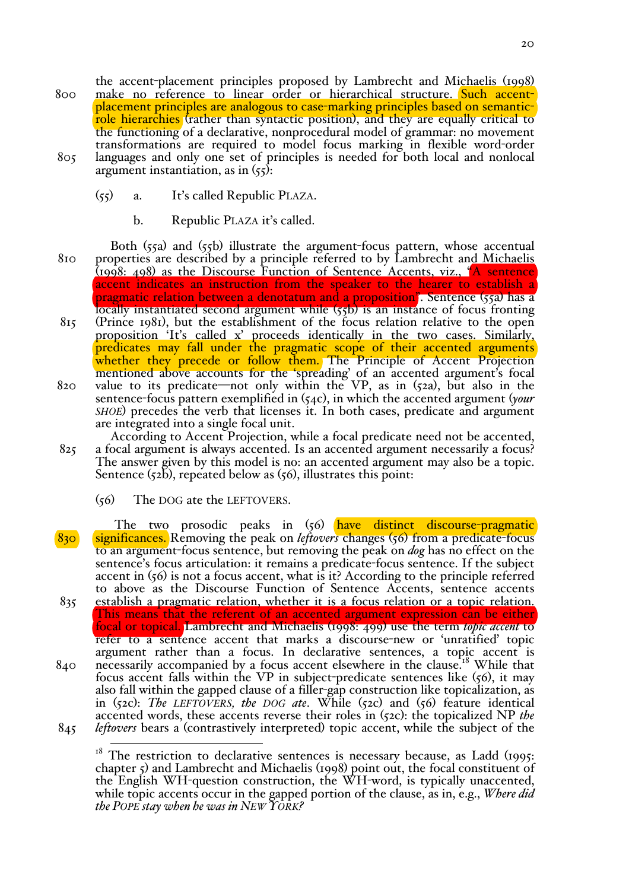the accent-placement principles proposed by Lambrecht and Michaelis (1998) 800 make no reference to linear order or hierarchical structure. Such accentplacement principles are analogous to case-marking principles based on semanticrole hierarchies (rather than syntactic position), and they are equally critical to the functioning of a declarative, nonprocedural model of grammar: no movement transformations are required to model focus marking in flexible word-order 805 languages and only one set of principles is needed for both local and nonlocal argument instantiation, as in  $(55)$ :

- (55) a. It's called Republic PLAZA.
	- b. Republic PLAZA it's called.
- Both (55a) and (55b) illustrate the argument-focus pattern, whose accentual 810 properties are described by a principle referred to by Lambrecht and Michaelis (1998: 498) as the Discourse Function of Sentence Accents, viz., "A sentence accent indicates an instruction from the speaker to the hearer to establish a pragmatic relation between a denotatum and a proposition". Sentence (55a) has a locally instantiated second argument while (55b) is an instance of focus fronting
- 815 (Prince 1981), but the establishment of the focus relation relative to the open proposition 'It's called x' proceeds identically in the two cases. Similarly, predicates may fall under the pragmatic scope of their accented arguments whether they precede or follow them. The Principle of Accent Projection mentioned above accounts for the 'spreading' of an accented argument's focal 820 value to its predicate—not only within the VP, as in (52a), but also in the sentence-focus pattern exemplified in (54c), in which the accented argument (*your SHOE*) precedes the verb that licenses it. In both cases, predicate and argument are integrated into a single focal unit.
- According to Accent Projection, while a focal predicate need not be accented, 825 a focal argument is always accented. Is an accented argument necessarily a focus? The answer given by this model is no: an accented argument may also be a topic. Sentence  $(52b)$ , repeated below as  $(56)$ , illustrates this point:
	- (56) The DOG ate the LEFTOVERS.

The two prosodic peaks in (56) have distinct discourse-pragmatic 830 significances. Removing the peak on *leftovers* changes (56) from a predicate-focus to an argument-focus sentence, but removing the peak on *dog* has no effect on the sentence's focus articulation: it remains a predicate-focus sentence. If the subject accent in  $(56)$  is not a focus accent, what is it? According to the principle referred to above as the Discourse Function of Sentence Accents, sentence accents 835 establish a pragmatic relation, whether it is a focus relation or a topic relation.

- This means that the referent of an accented argument expression can be either focal or topical. Lambrecht and Michaelis (1998: 499) use the term *topic accent* to refer to a sentence accent that marks a discourse-new or 'unratified' topic argument rather than a focus. In declarative sentences, a topic accent is 840 necessarily accompanied by a focus accent elsewhere in the clause.<sup>18</sup> While that focus accent falls within the VP in subject-predicate sentences like (56), it may also fall within the gapped clause of a filler-gap construction like topicalization, as
- in (52c): *The LEFTOVERS, the DOG ate*. While (52c) and (56) feature identical accented words, these accents reverse their roles in (52c): the topicalized NP *the*

<sup>845</sup> *leftovers* bears a (contrastively interpreted) topic accent, while the subject of the

 $18$  The restriction to declarative sentences is necessary because, as Ladd (1995: chapter  $5$ ) and Lambrecht and Michaelis (1998) point out, the focal constituent of the English WH-question construction, the WH-word, is typically unaccented, while topic accents occur in the gapped portion of the clause, as in, e.g., *Where did the POPE stay when he was in NEW YORK?*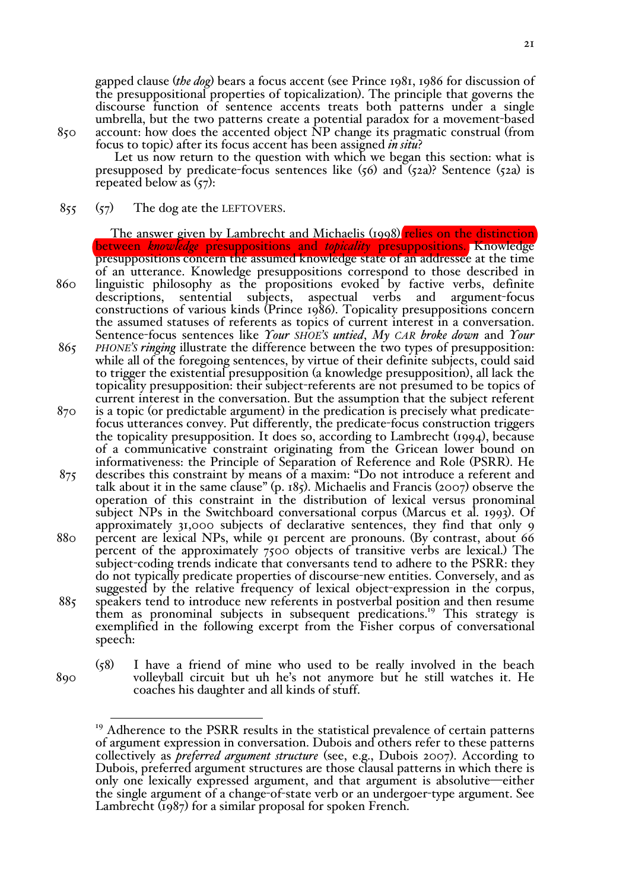gapped clause (*the dog*) bears a focus accent (see Prince 1981, 1986 for discussion of the presuppositional properties of topicalization). The principle that governs the discourse function of sentence accents treats both patterns under a single umbrella, but the two patterns create a potential paradox for a movement-based 850 account: how does the accented object NP change its pragmatic construal (from focus to topic) after its focus accent has been assigned *in situ*?

Let us now return to the question with which we began this section: what is presupposed by predicate-focus sentences like  $(56)$  and  $(52a)$ ? Sentence  $(52a)$  is repeated below as  $(57)$ :

 $855$   $(57)$  The dog ate the LEFTOVERS.

The answer given by Lambrecht and Michaelis (1998) relies on the distinction between *knowledge* presuppositions and *topicality* presuppositions. Knowledge presuppositions concern the assumed knowledge state of an addressee at the time of an utterance. Knowledge presuppositions correspond to those described in 860 linguistic philosophy as the propositions evoked by factive verbs, definite descriptions, sentential subjects, aspectual verbs and argument-focus constructions of various kinds (Prince 1986). Topicality presuppositions concern the assumed statuses of referents as topics of current interest in a conversation. Sentence-focus sentences like *Your SHOE'S untied*, *My CAR broke down* and *Your*  865 *PHONE'S ringing* illustrate the difference between the two types of presupposition: while all of the foregoing sentences, by virtue of their definite subjects, could said to trigger the existential presupposition (a knowledge presupposition), all lack the topicality presupposition: their subject-referents are not presumed to be topics of current interest in the conversation. But the assumption that the subject referent 870 is a topic (or predictable argument) in the predication is precisely what predicatefocus utterances convey. Put differently, the predicate-focus construction triggers the topicality presupposition. It does so, according to Lambrecht (1994), because of a communicative constraint originating from the Gricean lower bound on informativeness: the Principle of Separation of Reference and Role (PSRR). He  $875$  describes this constraint by means of a maxim: "Do not introduce a referent and

- talk about it in the same clause" (p. 185). Michaelis and Francis (2007) observe the operation of this constraint in the distribution of lexical versus pronominal subject NPs in the Switchboard conversational corpus (Marcus et al. 1993). Of approximately 31,000 subjects of declarative sentences, they find that only 9 880 percent are lexical NPs, while 91 percent are pronouns. (By contrast, about 66
- percent of the approximately 7500 objects of transitive verbs are lexical.) The subject-coding trends indicate that conversants tend to adhere to the PSRR: they do not typically predicate properties of discourse-new entities. Conversely, and as suggested by the relative frequency of lexical object-expression in the corpus,
- 885 speakers tend to introduce new referents in postverbal position and then resume them as pronominal subjects in subsequent predications.<sup>19</sup> This strategy is exemplified in the following excerpt from the Fisher corpus of conversational speech:
- 

(58) I have a friend of mine who used to be really involved in the beach 890 volleyball circuit but uh he's not anymore but he still watches it. He coaches his daughter and all kinds of stuff.

<sup>&</sup>lt;sup>19</sup> Adherence to the PSRR results in the statistical prevalence of certain patterns of argument expression in conversation. Dubois and others refer to these patterns collectively as *preferred argument structure* (see, e.g., Dubois 2007). According to Dubois, preferred argument structures are those clausal patterns in which there is only one lexically expressed argument, and that argument is absolutive—either the single argument of a change-of-state verb or an undergoer-type argument. See Lambrecht (1987) for a similar proposal for spoken French.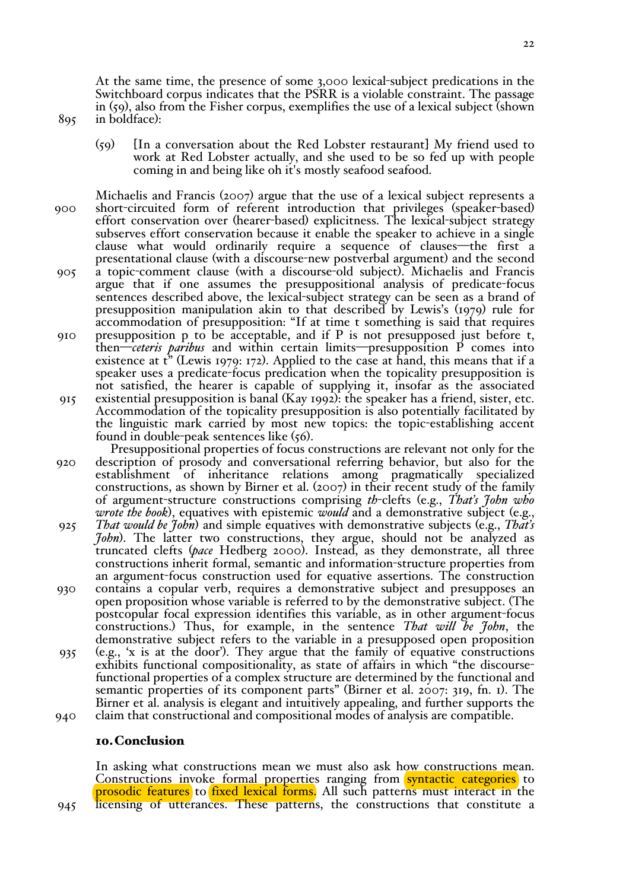At the same time, the presence of some 3,000 lexical-subject predications in the Switchboard corpus indicates that the PSRR is a violable constraint. The passage in (59), also from the Fisher corpus, exemplifies the use of a lexical subject (shown 895 in boldface):

- 
- (59) [In a conversation about the Red Lobster restaurant] My friend used to work at Red Lobster actually, and she used to be so fed up with people coming in and being like oh it's mostly seafood seafood.

Michaelis and Francis (2007) argue that the use of a lexical subject represents a 900 short-circuited form of referent introduction that privileges (speaker-based) effort conservation over (hearer-based) explicitness. The lexical-subject strategy subserves effort conservation because it enable the speaker to achieve in a single clause what would ordinarily require a sequence of clauses—the first a presentational clause (with a discourse-new postverbal argument) and the second

- 905 a topic-comment clause (with a discourse-old subject). Michaelis and Francis argue that if one assumes the presuppositional analysis of predicate-focus presupposition manipulation akin to that described by Lewis's (1979) rule for accommodation of presupposition: "If at time t something is said that requires presupposition  $p$  to be acceptable, and if  $P$  is not presupposed just before  $t$ ,
- <sup>910</sup> presupposition p to be acceptable, and if P is not presupposed just before t, then—*ceteris paribus* and within certain limits—presupposition P comes into existence at  $t^*$  (Lewis 1979: 172). Applied to the case at hand, this means that if a speaker uses a predicate-focus predication when the topicality presupposition is not satisfied, the hearer is capable of supplying it, insofar as the associated
- 915 existential presupposition is banal (Kay 1992): the speaker has a friend, sister, etc. Accommodation of the topicality presupposition is also potentially facilitated by the linguistic mark carried by most new topics: the topic-establishing accent found in double-peak sentences like  $(56)$ .
- Presuppositional properties of focus constructions are relevant not only for the 920 description of prosody and conversational referring behavior, but also for the establishment of inheritance relations among pragmatically specialized constructions, as shown by Birner et al. (2007) in their recent study of the family of argument-structure constructions comprising *th*-clefts (e.g., *That's John who wrote the book*), equatives with epistemic *would* and a demonstrative subject (e.g., 925 *That would be John*) and simple equatives with demonstrative subjects (e.g., *That's*
- *John*). The latter two constructions, they argue, should not be analyzed as truncated clefts (*pace* Hedberg 2000). Instead, as they demonstrate, all three constructions inherit formal, semantic and information-structure properties from an argument-focus construction used for equative assertions. The construction
- 930 contains a copular verb, requires a demonstrative subject and presupposes an open proposition whose variable is referred to by the demonstrative subject. (The postcopular focal expression identifies this variable, as in other argument-focus constructions.) Thus, for example, in the sentence *That will be John*, the demonstrative subject refers to the variable in a presupposed open proposition
- 935 (e.g., 'x is at the door'). They argue that the family of equative constructions exhibits functional compositionality, as state of affairs in which "the discoursefunctional properties of a complex structure are determined by the functional and semantic properties of its component parts" (Birner et al. 2007: 319, fn. 1). The Birner et al. analysis is elegant and intuitively appealing, and further supports the 940 claim that constructional and compositional modes of analysis are compatible.

# 10.Conclusion

In asking what constructions mean we must also ask how constructions mean. Constructions invoke formal properties ranging from syntactic categories to prosodic features to fixed lexical forms. All such patterns must interact in the 945 licensing of utterances. These patterns, the constructions that constitute a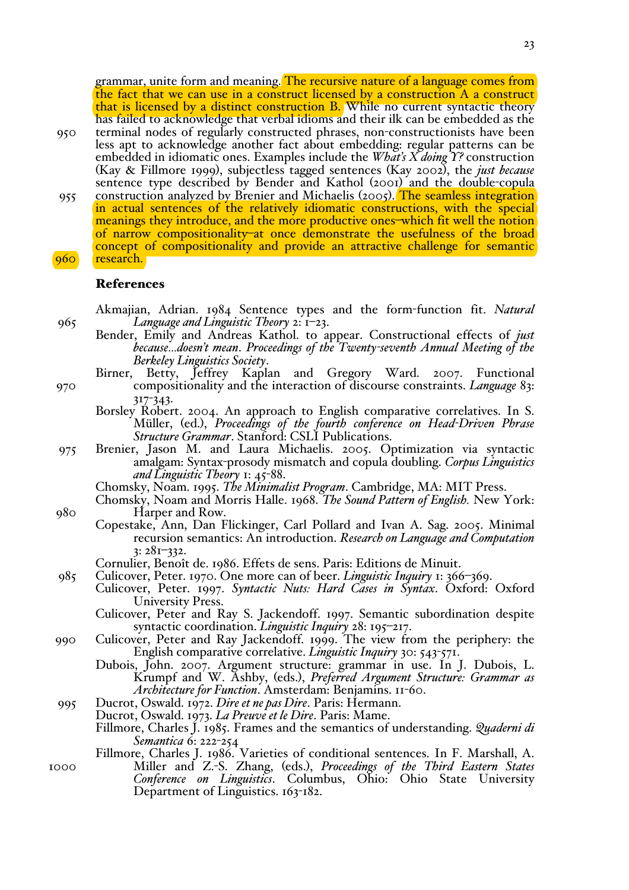grammar, unite form and meaning. The recursive nature of a language comes from the fact that we can use in a construct licensed by a construction A a construct that is licensed by a distinct construction B. While no current syntactic theory has failed to acknowledge that verbal idioms and their ilk can be embedded as the

- 950 terminal nodes of regularly constructed phrases, non-constructionists have been less apt to acknowledge another fact about embedding: regular patterns can be embedded in idiomatic ones. Examples include the *What's X doing*  $\hat{Y}$ ? construction (Kay & Fillmore 1999), subjectless tagged sentences (Kay 2002), the *just because* sentence type described by Bender and Kathol (2001) and the double-copula construction analyzed by Brenier and Michaelis (2005). The *seamless* integration
- 955 construction analyzed by Brenier and Michaelis (2005). The seamless integration<br>in actual sentences of the relatively idiomatic constructions, with the special<br>meanings they introduce, and the more productive ones-whic of narrow compositionality–at once demonstrate the usefulness of the broad concept of compositionality and provide an attractive challenge for semantic 960 research.

#### References

- Akmajian, Adrian. 1984 Sentence types and the form-function fit. *Natural*  965 *Language and Linguistic Theory* 2: 1–23.<br>Bender, Emily and Andreas Kathol. to appear. Constructional effects of *just* 
	- because...doesn't mean. Proceedings of the Twenty-seventh Annual Meeting of the *Berkeley Linguistics Society*.
- Birner, Betty, Jeffrey Kaplan and Gregory Ward. 2007. Functional 970 compositionality and the interaction of discourse constraints. *Language* 83: 317-343.
	- Borsley Robert. 2004. An approach to English comparative correlatives. In S. Müller, (ed.), *Proceedings of the fourth conference on Head-Driven Phrase Structure Grammar*. Stanford: CSLI Publications.
- 975 Brenier, Jason M. and Laura Michaelis. 2005. Optimization via syntactic amalgam: Syntax-prosody mismatch and copula doubling. *Corpus Linguistics and Linguistic Theory* 1: 45-88.

Chomsky, Noam. 1995. *The Minimalist Program*. Cambridge, MA: MIT Press.

- Chomsky, Noam and Morris Halle. 1968. *The Sound Pattern of English.* New York: 980 Harper and Row.
	- Copestake, Ann, Dan Flickinger, Carl Pollard and Ivan A. Sag. 2005. Minimal recursion semantics: An introduction. *Research on Language and Computation*  $3: 281 - 332.$ 
		- Cornulier, Benoît de. 1986. Effets de sens. Paris: Editions de Minuit.
- 985 Culicover, Peter. 1970. One more can of beer. *Linguistic Inquiry* 1: 366–369.
	- Culicover, Peter. 1997. *Syntactic Nuts: Hard Cases in Syntax*. Oxford: Oxford University Press.
		- Culicover, Peter and Ray S. Jackendoff. 1997. Semantic subordination despite syntactic coordination. *Linguistic Inquiry* 28: 195–217.
- 990 Culicover, Peter and Ray Jackendoff. 1999. The view from the periphery: the English comparative correlative. *Linguistic Inquiry* 30: 543-571.
	- Dubois, John. 2007. Argument structure: grammar in use. In J. Dubois, L. Krumpf and W. Ashby, (eds.), *Preferred Argument Structure: Grammar as Architecture for Function*. Amsterdam: Benjamins. 11-60.
- 995 Ducrot, Oswald. 1972. *Dire et ne pas Dire*. Paris: Hermann.
	- Ducrot, Oswald. 1973. *La Preuve et le Dire*. Paris: Mame.
		- Fillmore, Charles J. 1985. Frames and the semantics of understanding. *Quaderni di Semantica* 6: 222-254
		- Fillmore, Charles J. 1986. Varieties of conditional sentences. In F. Marshall, A.
- 1000 Miller and Z.-S. Zhang, (eds.), *Proceedings of the Third Eastern States Conference on Linguistics*. Columbus, Ohio: Ohio State University Department of Linguistics. 163-182.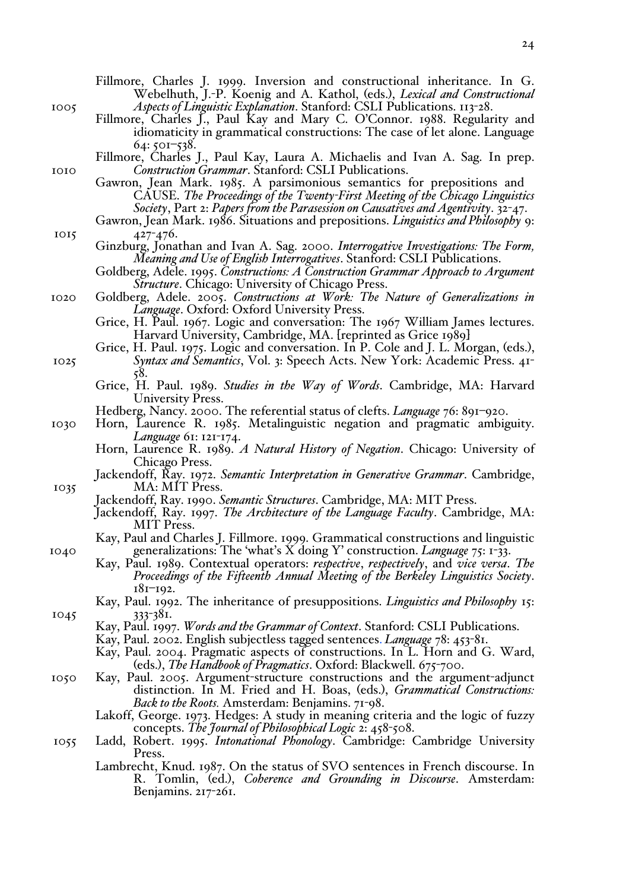Fillmore, Charles J., Paul Kay, Laura A. Michaelis and Ivan A. Sag. In prep. 1010 *Construction Grammar*. Stanford: CSLI Publications. Gawron, Jean Mark. 1985. A parsimonious semantics for prepositions and *Society*, Part 2: *Papers from the Parasession on Causatives and Agentivity*. 32-47. Gawron, Jean Mark. 1986. Situations and prepositions. *Linguistics and Philosophy* 9: <sup>1015</sup> <sup>427</sup>-476. Ginzburg, Jonathan and Ivan A. Sag. 2000. *Interrogative Investigations: The Form, Meaning and Use of English Interrogatives*. Stanford: CSLI Publications. Goldberg, Adele. 1995. *Constructions: A Construction Grammar Approach to Argument Structure*. Chicago: University of Chicago Press. 1020 Goldberg, Adele. 2005. *Constructions at Work: The Nature of Generalizations in*  Grice, H. Paul. 1967. Logic and conversation: The 1967 William James lectures.<br>Harvard University, Cambridge, MA. [reprinted as Grice 1989] Grice, H. Paul. 1975. Logic and conversation. In P. Cole and J. L. Morgan, (eds.), 58. Grice, H. Paul. 1989. *Studies in the Way of Words*. Cambridge, MA: Harvard University Press. Hedberg, Nancy. 2000. The referential status of clefts. *Language* 76: 891–920. 1030 Horn, Laurence R. 1985. Metalinguistic negation and pragmatic ambiguity. *Language* 61: 121-174. Horn, Laurence R. 1989. *A Natural History of Negation*. Chicago: University of Chicago Press. Jackendoff, Ray. 1972. *Semantic Interpretation in Generative Grammar*. Cambridge, 1035 MA: MIT Press. Jackendoff, Ray. 1990. *Semantic Structures*. Cambridge, MA: MIT Press. Jackendoff, Ray. 1997. *The Architecture of the Language Faculty*. Cambridge, MA: MIT Press. Kay, Paul and Charles J. Fillmore. 1999. Grammatical constructions and linguistic 1040 generalizations: The 'what's X doing Y' construction. *Language* 75: 1-33. Kay, Paul. 1989. Contextual operators: *respective*, *respectively*, and *vice versa*. *The* 181–192. Kay, Paul. 1992. The inheritance of presuppositions. *Linguistics and Philosophy* 15:  $1045$   $333-381$ . Kay, Paul. 1997. *Words and the Grammar of Context*. Stanford: CSLI Publications. Kay, Paul. 2002. English subjectless tagged sentences. *Language* 78: 453-81. Kay, Paul. 2004. Pragmatic aspects of constructions. In L. Horn and G. Ward, (eds.), *The Handbook of Pragmatics*. Oxford: Blackwell. 675-700. 1050 Kay, Paul. 2005. Argument-structure constructions and the argument-adjunct *Back to the Roots.* Amsterdam: Benjamins. 71-98. Lakoff, George. 1973. Hedges: A study in meaning criteria and the logic of fuzzy concepts. *The Journal of Philosophical Logic* 2: 458-508. 1055 Ladd, Robert. 1995. *Intonational Phonology*. Cambridge: Cambridge University Press. Lambrecht, Knud. 1987. On the status of SVO sentences in French discourse. In

Webelhuth, J.-P. Koenig and A. Kathol, (eds.), *Lexical and Constructional*  1005 *Aspects of Linguistic Explanation*. Stanford: CSLI Publications. 113-28. Fillmore, Charles J., Paul Kay and Mary C. O'Connor. 1988. Regularity and

Fillmore, Charles J. 1999. Inversion and constructional inheritance. In G.

idiomaticity in grammatical constructions: The case of let alone. Language  $64:501-538.$ 

- 
- CAUSE. *The Proceedings of the Twenty-First Meeting of the Chicago Linguistics*
- 
- 
- 
- -
- 1025 *Syntax and Semantics*, Vol. 3: Speech Acts. New York: Academic Press. 41-
	-
	- -
	-
	-
	-
	- *Proceedings of the Fifteenth Annual Meeting of the Berkeley Linguistics Society*.
	-
	-
- distinction. In M. Fried and H. Boas, (eds.), *Grammatical Constructions:* 
	-
	- - R. Tomlin, (ed.), *Coherence and Grounding in Discourse*. Amsterdam: Benjamins. 217-261.